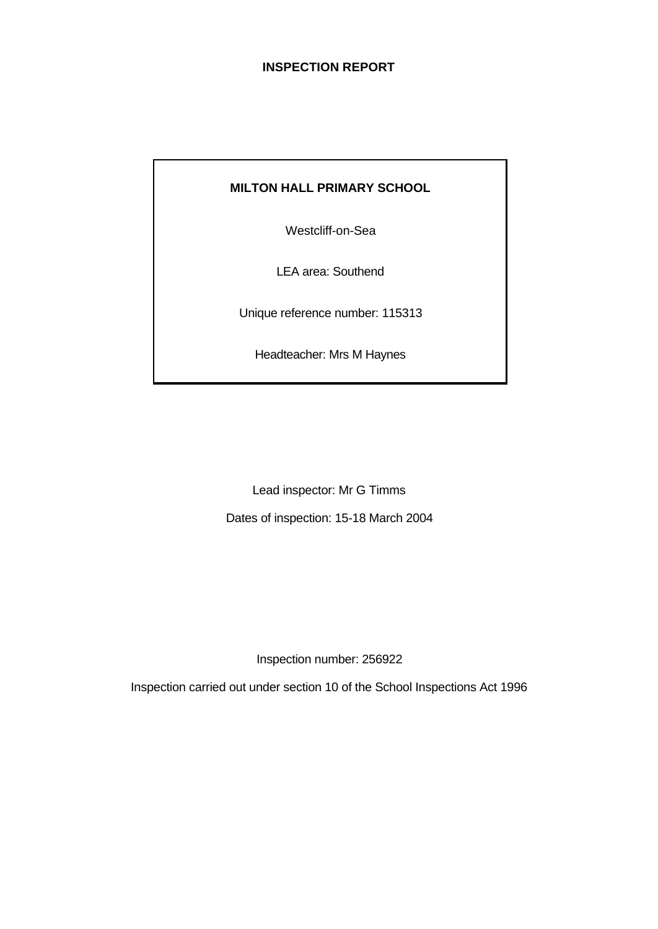# **INSPECTION REPORT**

# **MILTON HALL PRIMARY SCHOOL**

Westcliff-on-Sea

LEA area: Southend

Unique reference number: 115313

Headteacher: Mrs M Haynes

Lead inspector: Mr G Timms Dates of inspection: 15-18 March 2004

Inspection number: 256922

Inspection carried out under section 10 of the School Inspections Act 1996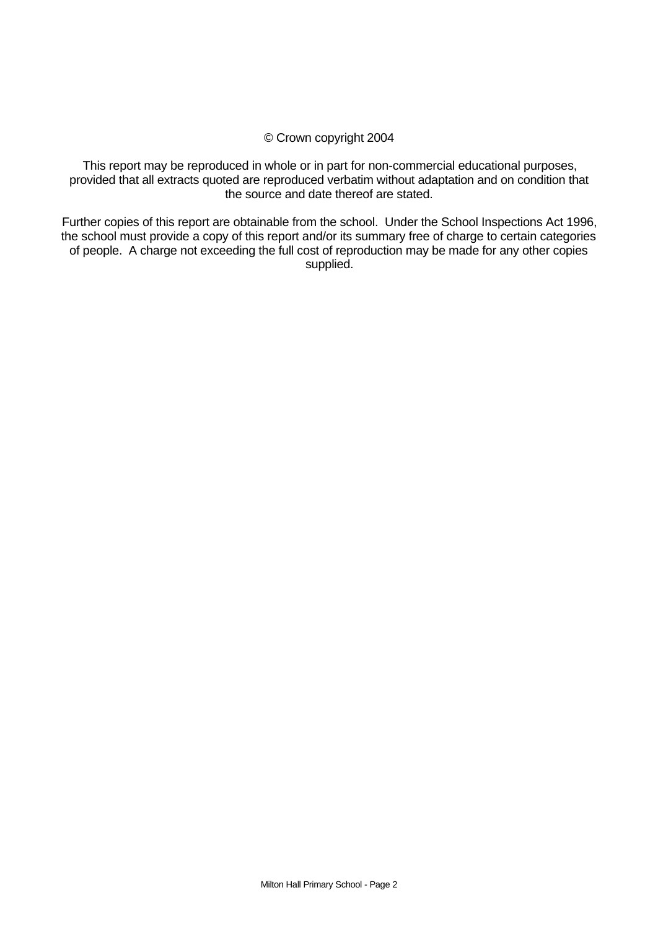#### © Crown copyright 2004

This report may be reproduced in whole or in part for non-commercial educational purposes, provided that all extracts quoted are reproduced verbatim without adaptation and on condition that the source and date thereof are stated.

Further copies of this report are obtainable from the school. Under the School Inspections Act 1996, the school must provide a copy of this report and/or its summary free of charge to certain categories of people. A charge not exceeding the full cost of reproduction may be made for any other copies supplied.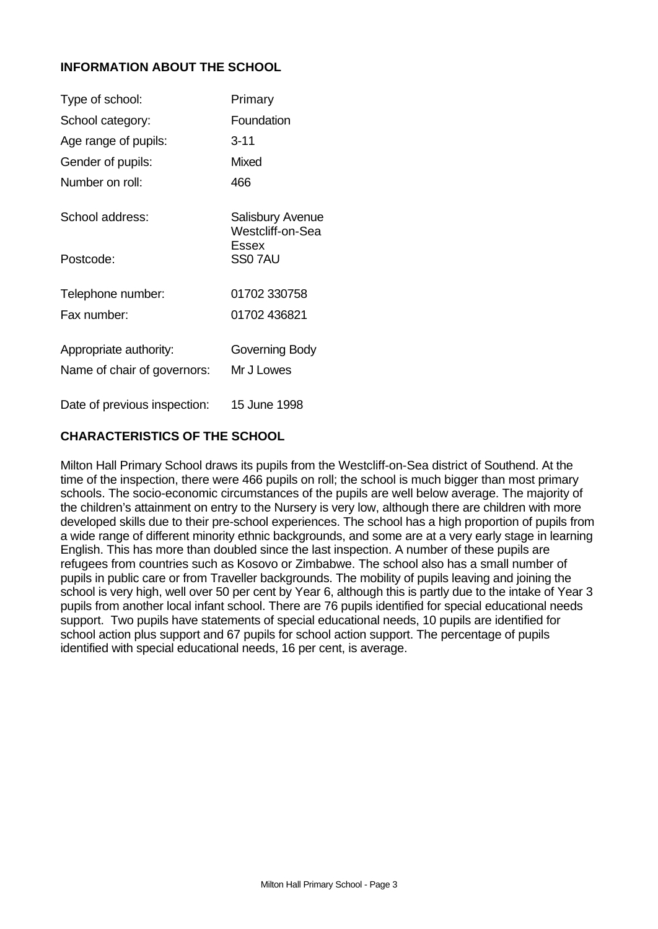# **INFORMATION ABOUT THE SCHOOL**

| Type of school:              | Primary                              |
|------------------------------|--------------------------------------|
| School category:             | Foundation                           |
| Age range of pupils:         | $3 - 11$                             |
| Gender of pupils:            | Mixed                                |
| Number on roll:              | 466                                  |
| School address:              | Salisbury Avenue<br>Westcliff-on-Sea |
| Postcode:                    | Essex<br>SS07AU                      |
| Telephone number:            | 01702 330758                         |
| Fax number:                  | 01702 436821                         |
| Appropriate authority:       | Governing Body                       |
| Name of chair of governors:  | Mr J Lowes                           |
| Date of previous inspection: | 15 June 1998                         |

# **CHARACTERISTICS OF THE SCHOOL**

Milton Hall Primary School draws its pupils from the Westcliff-on-Sea district of Southend. At the time of the inspection, there were 466 pupils on roll; the school is much bigger than most primary schools. The socio-economic circumstances of the pupils are well below average. The majority of the children's attainment on entry to the Nursery is very low, although there are children with more developed skills due to their pre-school experiences. The school has a high proportion of pupils from a wide range of different minority ethnic backgrounds, and some are at a very early stage in learning English. This has more than doubled since the last inspection. A number of these pupils are refugees from countries such as Kosovo or Zimbabwe. The school also has a small number of pupils in public care or from Traveller backgrounds. The mobility of pupils leaving and joining the school is very high, well over 50 per cent by Year 6, although this is partly due to the intake of Year 3 pupils from another local infant school. There are 76 pupils identified for special educational needs support. Two pupils have statements of special educational needs, 10 pupils are identified for school action plus support and 67 pupils for school action support. The percentage of pupils identified with special educational needs, 16 per cent, is average.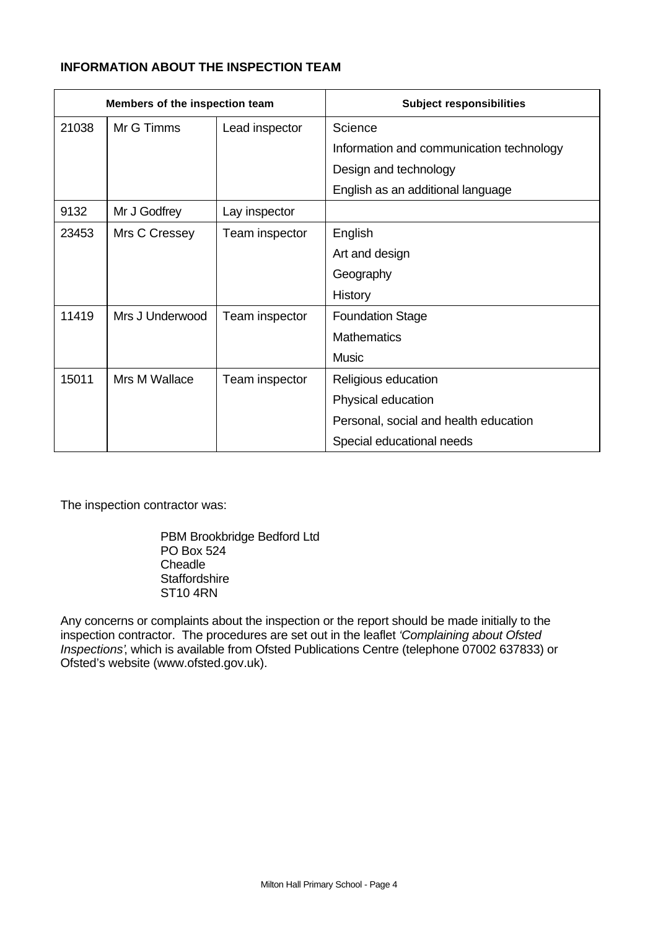# **INFORMATION ABOUT THE INSPECTION TEAM**

| Members of the inspection team |                 |                | <b>Subject responsibilities</b>          |  |  |  |  |
|--------------------------------|-----------------|----------------|------------------------------------------|--|--|--|--|
| 21038                          | Mr G Timms      | Lead inspector | Science                                  |  |  |  |  |
|                                |                 |                | Information and communication technology |  |  |  |  |
|                                |                 |                | Design and technology                    |  |  |  |  |
|                                |                 |                | English as an additional language        |  |  |  |  |
| 9132                           | Mr J Godfrey    | Lay inspector  |                                          |  |  |  |  |
| 23453                          | Mrs C Cressey   | Team inspector | English                                  |  |  |  |  |
|                                |                 |                | Art and design                           |  |  |  |  |
|                                |                 |                | Geography                                |  |  |  |  |
|                                |                 |                | <b>History</b>                           |  |  |  |  |
| 11419                          | Mrs J Underwood | Team inspector | <b>Foundation Stage</b>                  |  |  |  |  |
|                                |                 |                | <b>Mathematics</b>                       |  |  |  |  |
|                                |                 |                | <b>Music</b>                             |  |  |  |  |
| 15011                          | Mrs M Wallace   | Team inspector | Religious education                      |  |  |  |  |
|                                |                 |                | Physical education                       |  |  |  |  |
|                                |                 |                | Personal, social and health education    |  |  |  |  |
|                                |                 |                | Special educational needs                |  |  |  |  |

The inspection contractor was:

PBM Brookbridge Bedford Ltd PO Box 524 **Cheadle Staffordshire** ST10 4RN

Any concerns or complaints about the inspection or the report should be made initially to the inspection contractor. The procedures are set out in the leaflet *'Complaining about Ofsted Inspections'*, which is available from Ofsted Publications Centre (telephone 07002 637833) or Ofsted's website (www.ofsted.gov.uk).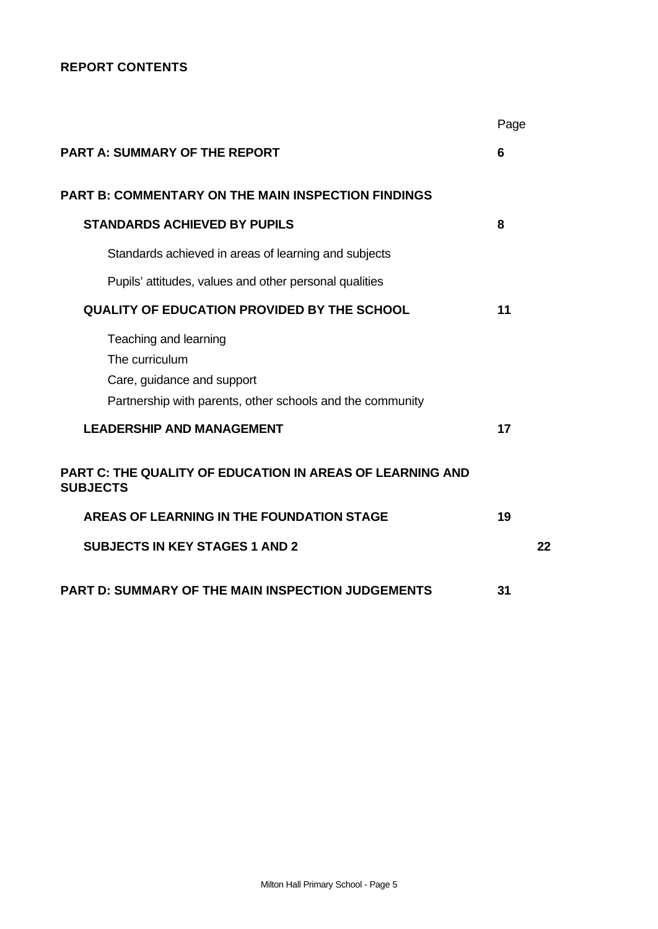# **REPORT CONTENTS**

|                                                                                                                                    | Page |    |
|------------------------------------------------------------------------------------------------------------------------------------|------|----|
| <b>PART A: SUMMARY OF THE REPORT</b>                                                                                               | 6    |    |
| <b>PART B: COMMENTARY ON THE MAIN INSPECTION FINDINGS</b>                                                                          |      |    |
| <b>STANDARDS ACHIEVED BY PUPILS</b>                                                                                                | 8    |    |
| Standards achieved in areas of learning and subjects                                                                               |      |    |
| Pupils' attitudes, values and other personal qualities                                                                             |      |    |
| <b>QUALITY OF EDUCATION PROVIDED BY THE SCHOOL</b>                                                                                 | 11   |    |
| Teaching and learning<br>The curriculum<br>Care, guidance and support<br>Partnership with parents, other schools and the community |      |    |
| <b>LEADERSHIP AND MANAGEMENT</b>                                                                                                   | 17   |    |
| <b>PART C: THE QUALITY OF EDUCATION IN AREAS OF LEARNING AND</b><br><b>SUBJECTS</b>                                                |      |    |
| <b>AREAS OF LEARNING IN THE FOUNDATION STAGE</b>                                                                                   | 19   |    |
| <b>SUBJECTS IN KEY STAGES 1 AND 2</b>                                                                                              |      | 22 |
| <b>PART D: SUMMARY OF THE MAIN INSPECTION JUDGEMENTS</b>                                                                           | 31   |    |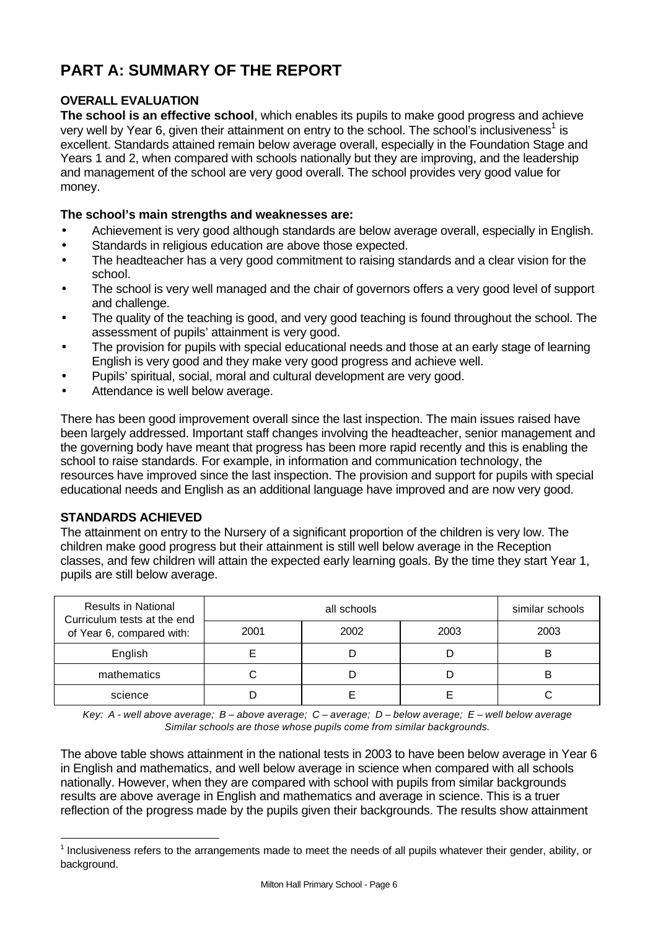# **PART A: SUMMARY OF THE REPORT**

# **OVERALL EVALUATION**

**The school is an effective school**, which enables its pupils to make good progress and achieve very well by Year 6, given their attainment on entry to the school. The school's inclusiveness<sup>1</sup> is excellent. Standards attained remain below average overall, especially in the Foundation Stage and Years 1 and 2, when compared with schools nationally but they are improving, and the leadership and management of the school are very good overall. The school provides very good value for money.

# **The school's main strengths and weaknesses are:**

- Achievement is very good although standards are below average overall, especially in English.
- Standards in religious education are above those expected.
- The headteacher has a very good commitment to raising standards and a clear vision for the school.
- The school is very well managed and the chair of governors offers a very good level of support and challenge.
- The quality of the teaching is good, and very good teaching is found throughout the school. The assessment of pupils' attainment is very good.
- The provision for pupils with special educational needs and those at an early stage of learning English is very good and they make very good progress and achieve well.
- Pupils' spiritual, social, moral and cultural development are very good.
- Attendance is well below average.

There has been good improvement overall since the last inspection. The main issues raised have been largely addressed. Important staff changes involving the headteacher, senior management and the governing body have meant that progress has been more rapid recently and this is enabling the school to raise standards. For example, in information and communication technology, the resources have improved since the last inspection. The provision and support for pupils with special educational needs and English as an additional language have improved and are now very good.

# **STANDARDS ACHIEVED**

l

The attainment on entry to the Nursery of a significant proportion of the children is very low. The children make good progress but their attainment is still well below average in the Reception classes, and few children will attain the expected early learning goals. By the time they start Year 1, pupils are still below average.

| <b>Results in National</b><br>Curriculum tests at the end |  | similar schools |      |      |
|-----------------------------------------------------------|--|-----------------|------|------|
| 2001<br>of Year 6, compared with:                         |  | 2002            | 2003 | 2003 |
| English                                                   |  |                 |      | В    |
| mathematics                                               |  |                 |      | B    |
| science                                                   |  |                 |      |      |

*Key: A - well above average; B – above average; C – average; D – below average; E – well below average Similar schools are those whose pupils come from similar backgrounds.*

The above table shows attainment in the national tests in 2003 to have been below average in Year 6 in English and mathematics, and well below average in science when compared with all schools nationally. However, when they are compared with school with pupils from similar backgrounds results are above average in English and mathematics and average in science. This is a truer reflection of the progress made by the pupils given their backgrounds. The results show attainment

<sup>&</sup>lt;sup>1</sup> Inclusiveness refers to the arrangements made to meet the needs of all pupils whatever their gender, ability, or background.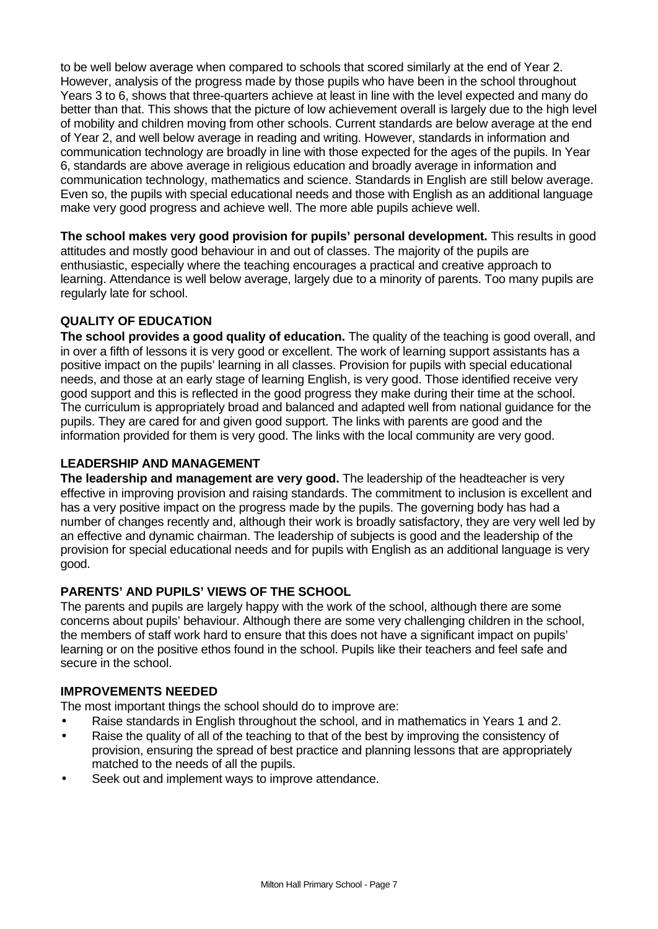to be well below average when compared to schools that scored similarly at the end of Year 2. However, analysis of the progress made by those pupils who have been in the school throughout Years 3 to 6, shows that three-quarters achieve at least in line with the level expected and many do better than that. This shows that the picture of low achievement overall is largely due to the high level of mobility and children moving from other schools. Current standards are below average at the end of Year 2, and well below average in reading and writing. However, standards in information and communication technology are broadly in line with those expected for the ages of the pupils. In Year 6, standards are above average in religious education and broadly average in information and communication technology, mathematics and science. Standards in English are still below average. Even so, the pupils with special educational needs and those with English as an additional language make very good progress and achieve well. The more able pupils achieve well.

**The school makes very good provision for pupils' personal development.** This results in good attitudes and mostly good behaviour in and out of classes. The majority of the pupils are enthusiastic, especially where the teaching encourages a practical and creative approach to learning. Attendance is well below average, largely due to a minority of parents. Too many pupils are regularly late for school.

# **QUALITY OF EDUCATION**

**The school provides a good quality of education.** The quality of the teaching is good overall, and in over a fifth of lessons it is very good or excellent. The work of learning support assistants has a positive impact on the pupils' learning in all classes. Provision for pupils with special educational needs, and those at an early stage of learning English, is very good. Those identified receive very good support and this is reflected in the good progress they make during their time at the school. The curriculum is appropriately broad and balanced and adapted well from national guidance for the pupils. They are cared for and given good support. The links with parents are good and the information provided for them is very good. The links with the local community are very good.

### **LEADERSHIP AND MANAGEMENT**

**The leadership and management are very good.** The leadership of the headteacher is very effective in improving provision and raising standards. The commitment to inclusion is excellent and has a very positive impact on the progress made by the pupils. The governing body has had a number of changes recently and, although their work is broadly satisfactory, they are very well led by an effective and dynamic chairman. The leadership of subjects is good and the leadership of the provision for special educational needs and for pupils with English as an additional language is very good.

#### **PARENTS' AND PUPILS' VIEWS OF THE SCHOOL**

The parents and pupils are largely happy with the work of the school, although there are some concerns about pupils' behaviour. Although there are some very challenging children in the school, the members of staff work hard to ensure that this does not have a significant impact on pupils' learning or on the positive ethos found in the school. Pupils like their teachers and feel safe and secure in the school.

#### **IMPROVEMENTS NEEDED**

The most important things the school should do to improve are:

- Raise standards in English throughout the school, and in mathematics in Years 1 and 2.
- Raise the quality of all of the teaching to that of the best by improving the consistency of provision, ensuring the spread of best practice and planning lessons that are appropriately matched to the needs of all the pupils.
- Seek out and implement ways to improve attendance.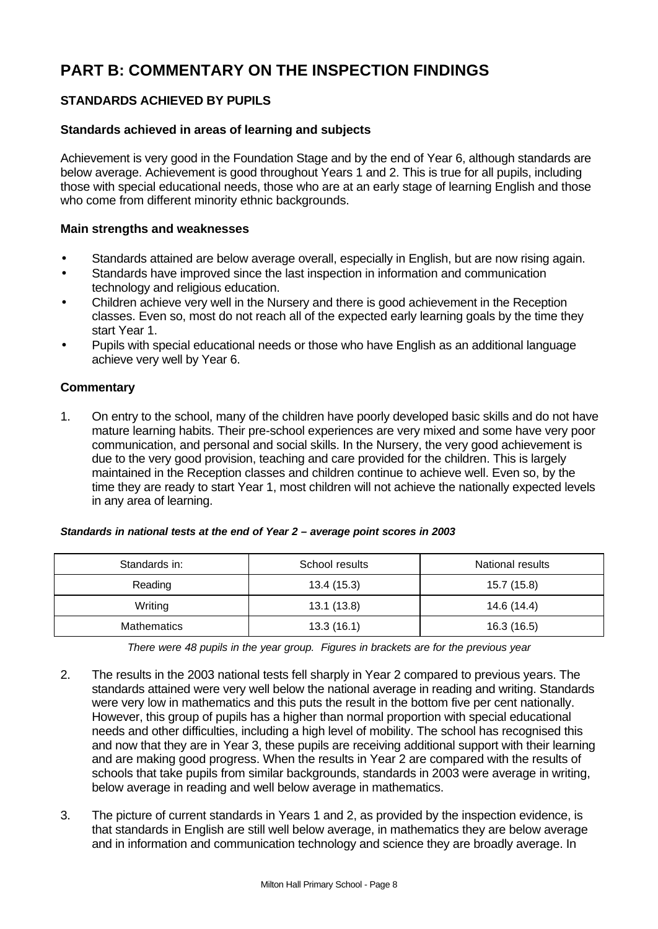# **PART B: COMMENTARY ON THE INSPECTION FINDINGS**

# **STANDARDS ACHIEVED BY PUPILS**

### **Standards achieved in areas of learning and subjects**

Achievement is very good in the Foundation Stage and by the end of Year 6, although standards are below average. Achievement is good throughout Years 1 and 2. This is true for all pupils, including those with special educational needs, those who are at an early stage of learning English and those who come from different minority ethnic backgrounds.

#### **Main strengths and weaknesses**

- Standards attained are below average overall, especially in English, but are now rising again.
- Standards have improved since the last inspection in information and communication technology and religious education.
- Children achieve very well in the Nursery and there is good achievement in the Reception classes. Even so, most do not reach all of the expected early learning goals by the time they start Year 1.
- Pupils with special educational needs or those who have English as an additional language achieve very well by Year 6.

#### **Commentary**

1. On entry to the school, many of the children have poorly developed basic skills and do not have mature learning habits. Their pre-school experiences are very mixed and some have very poor communication, and personal and social skills. In the Nursery, the very good achievement is due to the very good provision, teaching and care provided for the children. This is largely maintained in the Reception classes and children continue to achieve well. Even so, by the time they are ready to start Year 1, most children will not achieve the nationally expected levels in any area of learning.

| Standards in national tests at the end of Year 2 - average point scores in 2003 |  |  |  |
|---------------------------------------------------------------------------------|--|--|--|
|---------------------------------------------------------------------------------|--|--|--|

| Standards in: | School results | National results |
|---------------|----------------|------------------|
| Reading       | 13.4 (15.3)    | 15.7 (15.8)      |
| Writing       | 13.1(13.8)     | 14.6 (14.4)      |
| Mathematics   | 13.3(16.1)     | 16.3 (16.5)      |

*There were 48 pupils in the year group. Figures in brackets are for the previous year*

- 2. The results in the 2003 national tests fell sharply in Year 2 compared to previous years. The standards attained were very well below the national average in reading and writing. Standards were very low in mathematics and this puts the result in the bottom five per cent nationally. However, this group of pupils has a higher than normal proportion with special educational needs and other difficulties, including a high level of mobility. The school has recognised this and now that they are in Year 3, these pupils are receiving additional support with their learning and are making good progress. When the results in Year 2 are compared with the results of schools that take pupils from similar backgrounds, standards in 2003 were average in writing, below average in reading and well below average in mathematics.
- 3. The picture of current standards in Years 1 and 2, as provided by the inspection evidence, is that standards in English are still well below average, in mathematics they are below average and in information and communication technology and science they are broadly average. In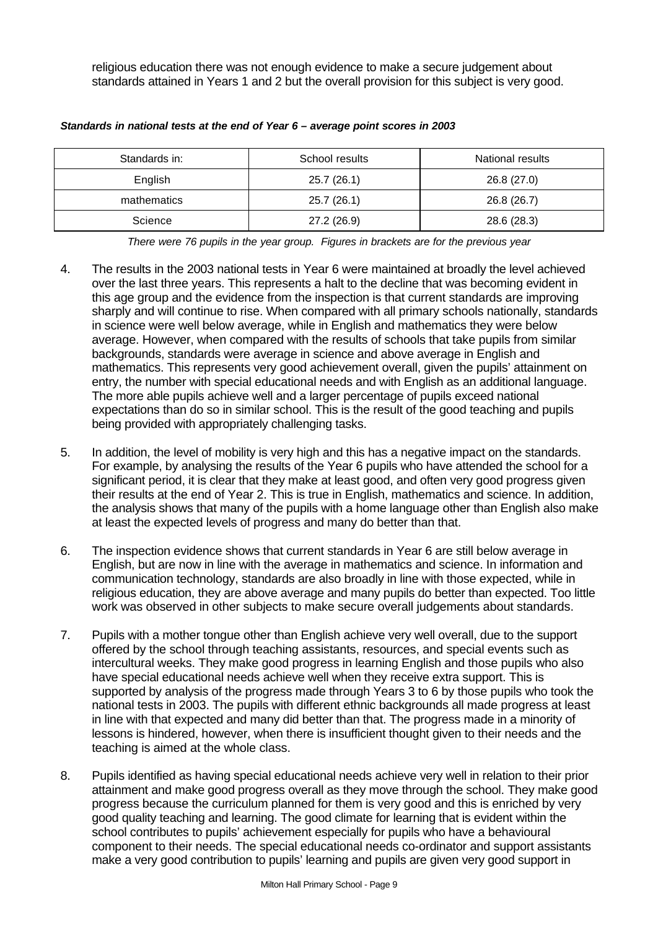religious education there was not enough evidence to make a secure judgement about standards attained in Years 1 and 2 but the overall provision for this subject is very good.

| Standards in: | School results | National results |
|---------------|----------------|------------------|
| English       | 25.7(26.1)     | 26.8 (27.0)      |
| mathematics   | 25.7(26.1)     | 26.8 (26.7)      |
| Science       | 27.2 (26.9)    | 28.6 (28.3)      |

*Standards in national tests at the end of Year 6 – average point scores in 2003*

*There were 76 pupils in the year group. Figures in brackets are for the previous year*

- 4. The results in the 2003 national tests in Year 6 were maintained at broadly the level achieved over the last three years. This represents a halt to the decline that was becoming evident in this age group and the evidence from the inspection is that current standards are improving sharply and will continue to rise. When compared with all primary schools nationally, standards in science were well below average, while in English and mathematics they were below average. However, when compared with the results of schools that take pupils from similar backgrounds, standards were average in science and above average in English and mathematics. This represents very good achievement overall, given the pupils' attainment on entry, the number with special educational needs and with English as an additional language. The more able pupils achieve well and a larger percentage of pupils exceed national expectations than do so in similar school. This is the result of the good teaching and pupils being provided with appropriately challenging tasks.
- 5. In addition, the level of mobility is very high and this has a negative impact on the standards. For example, by analysing the results of the Year 6 pupils who have attended the school for a significant period, it is clear that they make at least good, and often very good progress given their results at the end of Year 2. This is true in English, mathematics and science. In addition, the analysis shows that many of the pupils with a home language other than English also make at least the expected levels of progress and many do better than that.
- 6. The inspection evidence shows that current standards in Year 6 are still below average in English, but are now in line with the average in mathematics and science. In information and communication technology, standards are also broadly in line with those expected, while in religious education, they are above average and many pupils do better than expected. Too little work was observed in other subjects to make secure overall judgements about standards.
- 7. Pupils with a mother tongue other than English achieve very well overall, due to the support offered by the school through teaching assistants, resources, and special events such as intercultural weeks. They make good progress in learning English and those pupils who also have special educational needs achieve well when they receive extra support. This is supported by analysis of the progress made through Years 3 to 6 by those pupils who took the national tests in 2003. The pupils with different ethnic backgrounds all made progress at least in line with that expected and many did better than that. The progress made in a minority of lessons is hindered, however, when there is insufficient thought given to their needs and the teaching is aimed at the whole class.
- 8. Pupils identified as having special educational needs achieve very well in relation to their prior attainment and make good progress overall as they move through the school. They make good progress because the curriculum planned for them is very good and this is enriched by very good quality teaching and learning. The good climate for learning that is evident within the school contributes to pupils' achievement especially for pupils who have a behavioural component to their needs. The special educational needs co-ordinator and support assistants make a very good contribution to pupils' learning and pupils are given very good support in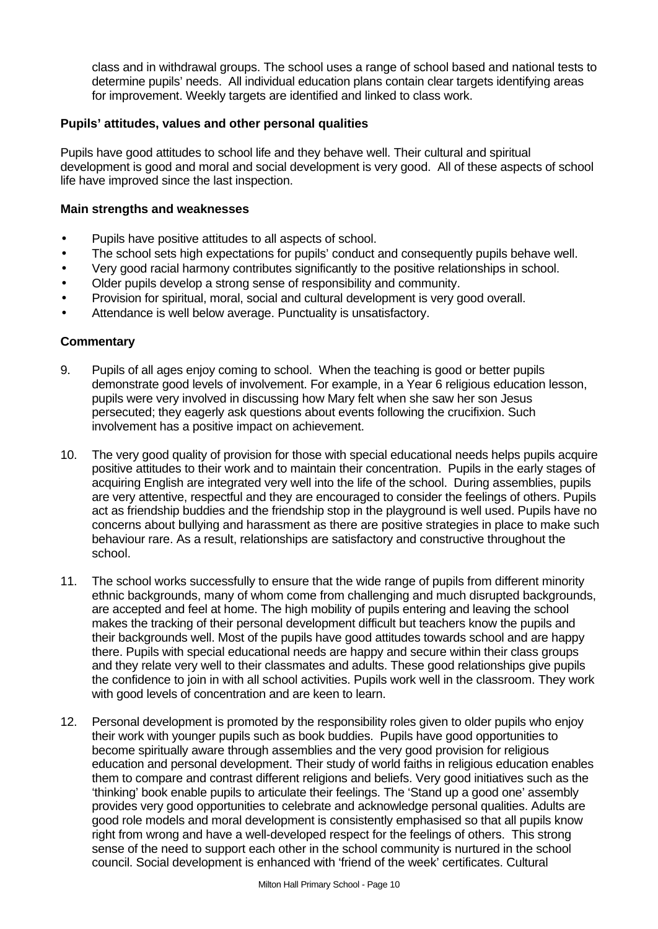class and in withdrawal groups. The school uses a range of school based and national tests to determine pupils' needs. All individual education plans contain clear targets identifying areas for improvement. Weekly targets are identified and linked to class work.

#### **Pupils' attitudes, values and other personal qualities**

Pupils have good attitudes to school life and they behave well. Their cultural and spiritual development is good and moral and social development is very good. All of these aspects of school life have improved since the last inspection.

#### **Main strengths and weaknesses**

- Pupils have positive attitudes to all aspects of school.
- The school sets high expectations for pupils' conduct and consequently pupils behave well.
- Very good racial harmony contributes significantly to the positive relationships in school.
- Older pupils develop a strong sense of responsibility and community.
- Provision for spiritual, moral, social and cultural development is very good overall.
- Attendance is well below average. Punctuality is unsatisfactory.

- 9. Pupils of all ages enjoy coming to school. When the teaching is good or better pupils demonstrate good levels of involvement. For example, in a Year 6 religious education lesson, pupils were very involved in discussing how Mary felt when she saw her son Jesus persecuted; they eagerly ask questions about events following the crucifixion. Such involvement has a positive impact on achievement.
- 10. The very good quality of provision for those with special educational needs helps pupils acquire positive attitudes to their work and to maintain their concentration. Pupils in the early stages of acquiring English are integrated very well into the life of the school. During assemblies, pupils are very attentive, respectful and they are encouraged to consider the feelings of others. Pupils act as friendship buddies and the friendship stop in the playground is well used. Pupils have no concerns about bullying and harassment as there are positive strategies in place to make such behaviour rare. As a result, relationships are satisfactory and constructive throughout the school.
- 11. The school works successfully to ensure that the wide range of pupils from different minority ethnic backgrounds, many of whom come from challenging and much disrupted backgrounds, are accepted and feel at home. The high mobility of pupils entering and leaving the school makes the tracking of their personal development difficult but teachers know the pupils and their backgrounds well. Most of the pupils have good attitudes towards school and are happy there. Pupils with special educational needs are happy and secure within their class groups and they relate very well to their classmates and adults. These good relationships give pupils the confidence to join in with all school activities. Pupils work well in the classroom. They work with good levels of concentration and are keen to learn.
- 12. Personal development is promoted by the responsibility roles given to older pupils who enjoy their work with younger pupils such as book buddies. Pupils have good opportunities to become spiritually aware through assemblies and the very good provision for religious education and personal development. Their study of world faiths in religious education enables them to compare and contrast different religions and beliefs. Very good initiatives such as the 'thinking' book enable pupils to articulate their feelings. The 'Stand up a good one' assembly provides very good opportunities to celebrate and acknowledge personal qualities. Adults are good role models and moral development is consistently emphasised so that all pupils know right from wrong and have a well-developed respect for the feelings of others. This strong sense of the need to support each other in the school community is nurtured in the school council. Social development is enhanced with 'friend of the week' certificates. Cultural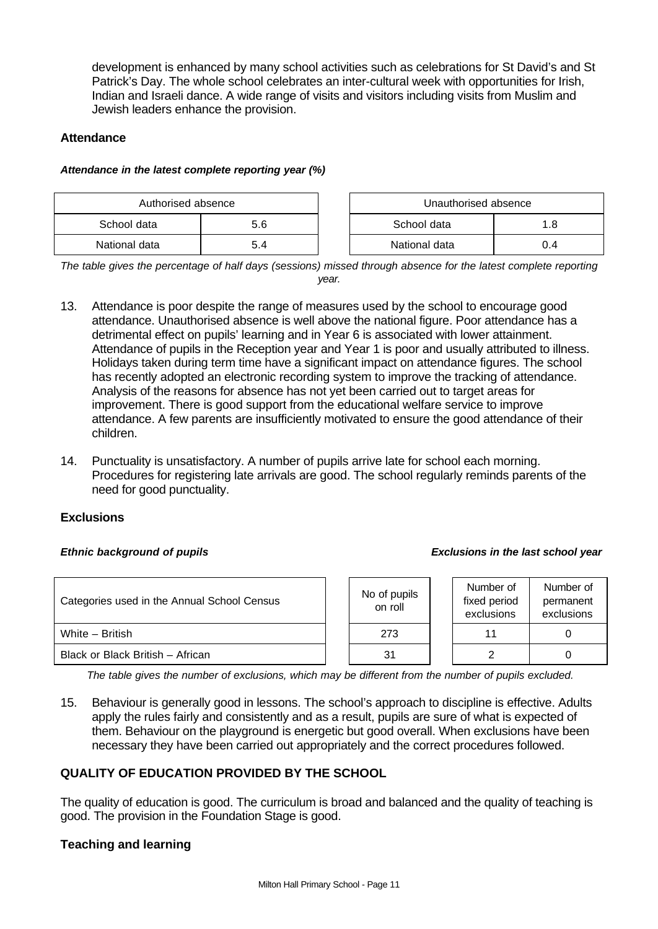development is enhanced by many school activities such as celebrations for St David's and St Patrick's Day. The whole school celebrates an inter-cultural week with opportunities for Irish, Indian and Israeli dance. A wide range of visits and visitors including visits from Muslim and Jewish leaders enhance the provision.

### **Attendance**

#### *Attendance in the latest complete reporting year (%)*

| Authorised absence |     | Unauthorised absence |     |  |
|--------------------|-----|----------------------|-----|--|
| School data        | 5.6 | School data<br>.8    |     |  |
| National data      | 5.4 | National data        | 0.4 |  |

*The table gives the percentage of half days (sessions) missed through absence for the latest complete reporting year.*

- 13. Attendance is poor despite the range of measures used by the school to encourage good attendance. Unauthorised absence is well above the national figure. Poor attendance has a detrimental effect on pupils' learning and in Year 6 is associated with lower attainment. Attendance of pupils in the Reception year and Year 1 is poor and usually attributed to illness. Holidays taken during term time have a significant impact on attendance figures. The school has recently adopted an electronic recording system to improve the tracking of attendance. Analysis of the reasons for absence has not yet been carried out to target areas for improvement. There is good support from the educational welfare service to improve attendance. A few parents are insufficiently motivated to ensure the good attendance of their children.
- 14. Punctuality is unsatisfactory. A number of pupils arrive late for school each morning. Procedures for registering late arrivals are good. The school regularly reminds parents of the need for good punctuality.

#### **Exclusions**

#### *Ethnic background of pupils Exclusions in the last school year*

| Categories used in the Annual School Census |  | No of pupils<br>on roll | Number of<br>fixed period<br>exclusions | Number of<br>permanent<br>exclusions |
|---------------------------------------------|--|-------------------------|-----------------------------------------|--------------------------------------|
| White - British                             |  | 273                     | 11                                      |                                      |
| Black or Black British - African            |  | 31                      | ◠                                       |                                      |

*The table gives the number of exclusions, which may be different from the number of pupils excluded.*

15. Behaviour is generally good in lessons. The school's approach to discipline is effective. Adults apply the rules fairly and consistently and as a result, pupils are sure of what is expected of them. Behaviour on the playground is energetic but good overall. When exclusions have been necessary they have been carried out appropriately and the correct procedures followed.

# **QUALITY OF EDUCATION PROVIDED BY THE SCHOOL**

The quality of education is good. The curriculum is broad and balanced and the quality of teaching is good. The provision in the Foundation Stage is good.

# **Teaching and learning**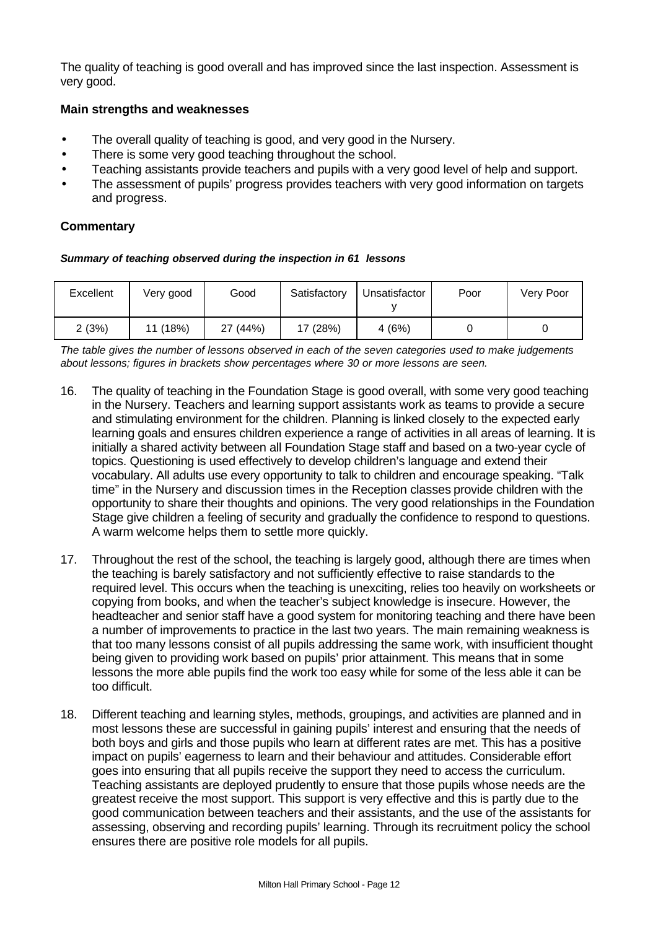The quality of teaching is good overall and has improved since the last inspection. Assessment is very good.

#### **Main strengths and weaknesses**

- The overall quality of teaching is good, and very good in the Nursery.
- There is some very good teaching throughout the school.
- Teaching assistants provide teachers and pupils with a very good level of help and support.
- The assessment of pupils' progress provides teachers with very good information on targets and progress.

# **Commentary**

#### *Summary of teaching observed during the inspection in 61 lessons*

| Excellent | Very good | Good     | Satisfactory | Unsatisfactor | Poor | Very Poor |
|-----------|-----------|----------|--------------|---------------|------|-----------|
| 2(3%)     | 11 (18%)  | 27 (44%) | 17 (28%)     | 4(6%)         |      |           |

*The table gives the number of lessons observed in each of the seven categories used to make judgements about lessons; figures in brackets show percentages where 30 or more lessons are seen.*

- 16. The quality of teaching in the Foundation Stage is good overall, with some very good teaching in the Nursery. Teachers and learning support assistants work as teams to provide a secure and stimulating environment for the children. Planning is linked closely to the expected early learning goals and ensures children experience a range of activities in all areas of learning. It is initially a shared activity between all Foundation Stage staff and based on a two-year cycle of topics. Questioning is used effectively to develop children's language and extend their vocabulary. All adults use every opportunity to talk to children and encourage speaking. "Talk time" in the Nursery and discussion times in the Reception classes provide children with the opportunity to share their thoughts and opinions. The very good relationships in the Foundation Stage give children a feeling of security and gradually the confidence to respond to questions. A warm welcome helps them to settle more quickly.
- 17. Throughout the rest of the school, the teaching is largely good, although there are times when the teaching is barely satisfactory and not sufficiently effective to raise standards to the required level. This occurs when the teaching is unexciting, relies too heavily on worksheets or copying from books, and when the teacher's subject knowledge is insecure. However, the headteacher and senior staff have a good system for monitoring teaching and there have been a number of improvements to practice in the last two years. The main remaining weakness is that too many lessons consist of all pupils addressing the same work, with insufficient thought being given to providing work based on pupils' prior attainment. This means that in some lessons the more able pupils find the work too easy while for some of the less able it can be too difficult.
- 18. Different teaching and learning styles, methods, groupings, and activities are planned and in most lessons these are successful in gaining pupils' interest and ensuring that the needs of both boys and girls and those pupils who learn at different rates are met. This has a positive impact on pupils' eagerness to learn and their behaviour and attitudes. Considerable effort goes into ensuring that all pupils receive the support they need to access the curriculum. Teaching assistants are deployed prudently to ensure that those pupils whose needs are the greatest receive the most support. This support is very effective and this is partly due to the good communication between teachers and their assistants, and the use of the assistants for assessing, observing and recording pupils' learning. Through its recruitment policy the school ensures there are positive role models for all pupils.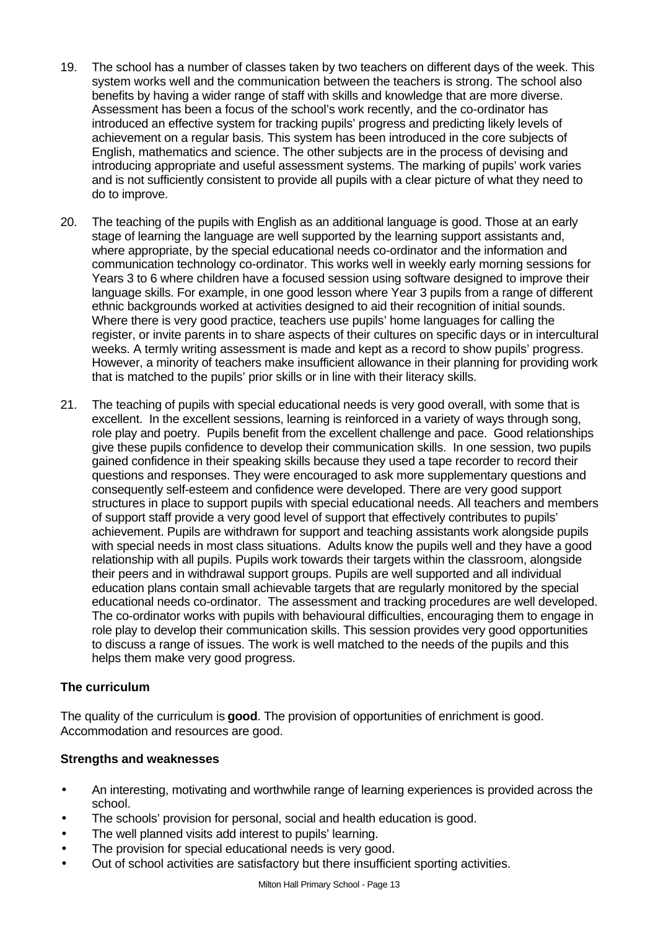- 19. The school has a number of classes taken by two teachers on different days of the week. This system works well and the communication between the teachers is strong. The school also benefits by having a wider range of staff with skills and knowledge that are more diverse. Assessment has been a focus of the school's work recently, and the co-ordinator has introduced an effective system for tracking pupils' progress and predicting likely levels of achievement on a regular basis. This system has been introduced in the core subjects of English, mathematics and science. The other subjects are in the process of devising and introducing appropriate and useful assessment systems. The marking of pupils' work varies and is not sufficiently consistent to provide all pupils with a clear picture of what they need to do to improve.
- 20. The teaching of the pupils with English as an additional language is good. Those at an early stage of learning the language are well supported by the learning support assistants and, where appropriate, by the special educational needs co-ordinator and the information and communication technology co-ordinator. This works well in weekly early morning sessions for Years 3 to 6 where children have a focused session using software designed to improve their language skills. For example, in one good lesson where Year 3 pupils from a range of different ethnic backgrounds worked at activities designed to aid their recognition of initial sounds. Where there is very good practice, teachers use pupils' home languages for calling the register, or invite parents in to share aspects of their cultures on specific days or in intercultural weeks. A termly writing assessment is made and kept as a record to show pupils' progress. However, a minority of teachers make insufficient allowance in their planning for providing work that is matched to the pupils' prior skills or in line with their literacy skills.
- 21. The teaching of pupils with special educational needs is very good overall, with some that is excellent. In the excellent sessions, learning is reinforced in a variety of ways through song, role play and poetry. Pupils benefit from the excellent challenge and pace. Good relationships give these pupils confidence to develop their communication skills. In one session, two pupils gained confidence in their speaking skills because they used a tape recorder to record their questions and responses. They were encouraged to ask more supplementary questions and consequently self-esteem and confidence were developed. There are very good support structures in place to support pupils with special educational needs. All teachers and members of support staff provide a very good level of support that effectively contributes to pupils' achievement. Pupils are withdrawn for support and teaching assistants work alongside pupils with special needs in most class situations. Adults know the pupils well and they have a good relationship with all pupils. Pupils work towards their targets within the classroom, alongside their peers and in withdrawal support groups. Pupils are well supported and all individual education plans contain small achievable targets that are regularly monitored by the special educational needs co-ordinator. The assessment and tracking procedures are well developed. The co-ordinator works with pupils with behavioural difficulties, encouraging them to engage in role play to develop their communication skills. This session provides very good opportunities to discuss a range of issues. The work is well matched to the needs of the pupils and this helps them make very good progress.

# **The curriculum**

The quality of the curriculum is **good**. The provision of opportunities of enrichment is good. Accommodation and resources are good.

#### **Strengths and weaknesses**

- An interesting, motivating and worthwhile range of learning experiences is provided across the school.
- The schools' provision for personal, social and health education is good.
- The well planned visits add interest to pupils' learning.
- The provision for special educational needs is very good.
- Out of school activities are satisfactory but there insufficient sporting activities.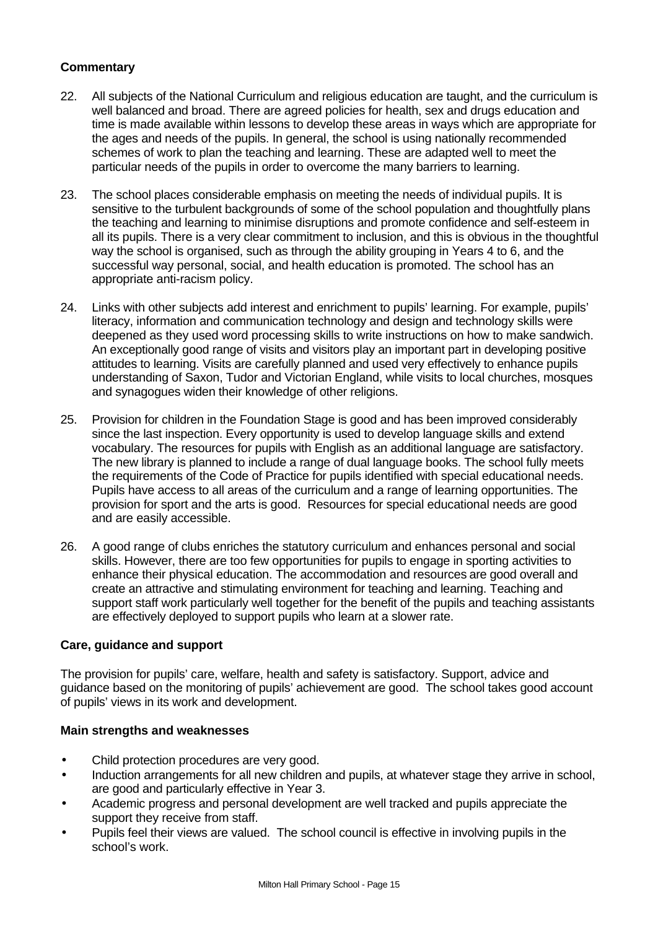- 22. All subjects of the National Curriculum and religious education are taught, and the curriculum is well balanced and broad. There are agreed policies for health, sex and drugs education and time is made available within lessons to develop these areas in ways which are appropriate for the ages and needs of the pupils. In general, the school is using nationally recommended schemes of work to plan the teaching and learning. These are adapted well to meet the particular needs of the pupils in order to overcome the many barriers to learning.
- 23. The school places considerable emphasis on meeting the needs of individual pupils. It is sensitive to the turbulent backgrounds of some of the school population and thoughtfully plans the teaching and learning to minimise disruptions and promote confidence and self-esteem in all its pupils. There is a very clear commitment to inclusion, and this is obvious in the thoughtful way the school is organised, such as through the ability grouping in Years 4 to 6, and the successful way personal, social, and health education is promoted. The school has an appropriate anti-racism policy.
- 24. Links with other subjects add interest and enrichment to pupils' learning. For example, pupils' literacy, information and communication technology and design and technology skills were deepened as they used word processing skills to write instructions on how to make sandwich. An exceptionally good range of visits and visitors play an important part in developing positive attitudes to learning. Visits are carefully planned and used very effectively to enhance pupils understanding of Saxon, Tudor and Victorian England, while visits to local churches, mosques and synagogues widen their knowledge of other religions.
- 25. Provision for children in the Foundation Stage is good and has been improved considerably since the last inspection. Every opportunity is used to develop language skills and extend vocabulary. The resources for pupils with English as an additional language are satisfactory. The new library is planned to include a range of dual language books. The school fully meets the requirements of the Code of Practice for pupils identified with special educational needs. Pupils have access to all areas of the curriculum and a range of learning opportunities. The provision for sport and the arts is good. Resources for special educational needs are good and are easily accessible.
- 26. A good range of clubs enriches the statutory curriculum and enhances personal and social skills. However, there are too few opportunities for pupils to engage in sporting activities to enhance their physical education. The accommodation and resources are good overall and create an attractive and stimulating environment for teaching and learning. Teaching and support staff work particularly well together for the benefit of the pupils and teaching assistants are effectively deployed to support pupils who learn at a slower rate.

# **Care, guidance and support**

The provision for pupils' care, welfare, health and safety is satisfactory. Support, advice and guidance based on the monitoring of pupils' achievement are good. The school takes good account of pupils' views in its work and development.

#### **Main strengths and weaknesses**

- Child protection procedures are very good.
- Induction arrangements for all new children and pupils, at whatever stage they arrive in school, are good and particularly effective in Year 3.
- Academic progress and personal development are well tracked and pupils appreciate the support they receive from staff.
- Pupils feel their views are valued. The school council is effective in involving pupils in the school's work.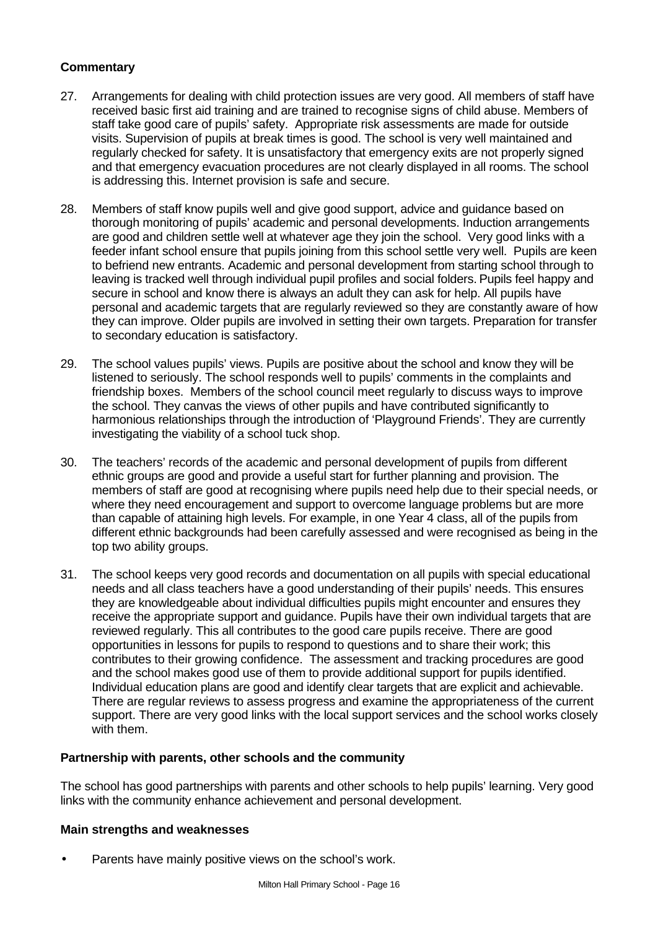- 27. Arrangements for dealing with child protection issues are very good. All members of staff have received basic first aid training and are trained to recognise signs of child abuse. Members of staff take good care of pupils' safety. Appropriate risk assessments are made for outside visits. Supervision of pupils at break times is good. The school is very well maintained and regularly checked for safety. It is unsatisfactory that emergency exits are not properly signed and that emergency evacuation procedures are not clearly displayed in all rooms. The school is addressing this. Internet provision is safe and secure.
- 28. Members of staff know pupils well and give good support, advice and guidance based on thorough monitoring of pupils' academic and personal developments. Induction arrangements are good and children settle well at whatever age they join the school. Very good links with a feeder infant school ensure that pupils joining from this school settle very well. Pupils are keen to befriend new entrants. Academic and personal development from starting school through to leaving is tracked well through individual pupil profiles and social folders. Pupils feel happy and secure in school and know there is always an adult they can ask for help. All pupils have personal and academic targets that are regularly reviewed so they are constantly aware of how they can improve. Older pupils are involved in setting their own targets. Preparation for transfer to secondary education is satisfactory.
- 29. The school values pupils' views. Pupils are positive about the school and know they will be listened to seriously. The school responds well to pupils' comments in the complaints and friendship boxes. Members of the school council meet regularly to discuss ways to improve the school. They canvas the views of other pupils and have contributed significantly to harmonious relationships through the introduction of 'Playground Friends'. They are currently investigating the viability of a school tuck shop.
- 30. The teachers' records of the academic and personal development of pupils from different ethnic groups are good and provide a useful start for further planning and provision. The members of staff are good at recognising where pupils need help due to their special needs, or where they need encouragement and support to overcome language problems but are more than capable of attaining high levels. For example, in one Year 4 class, all of the pupils from different ethnic backgrounds had been carefully assessed and were recognised as being in the top two ability groups.
- 31. The school keeps very good records and documentation on all pupils with special educational needs and all class teachers have a good understanding of their pupils' needs. This ensures they are knowledgeable about individual difficulties pupils might encounter and ensures they receive the appropriate support and guidance. Pupils have their own individual targets that are reviewed regularly. This all contributes to the good care pupils receive. There are good opportunities in lessons for pupils to respond to questions and to share their work; this contributes to their growing confidence. The assessment and tracking procedures are good and the school makes good use of them to provide additional support for pupils identified. Individual education plans are good and identify clear targets that are explicit and achievable. There are regular reviews to assess progress and examine the appropriateness of the current support. There are very good links with the local support services and the school works closely with them.

#### **Partnership with parents, other schools and the community**

The school has good partnerships with parents and other schools to help pupils' learning. Very good links with the community enhance achievement and personal development.

#### **Main strengths and weaknesses**

Parents have mainly positive views on the school's work.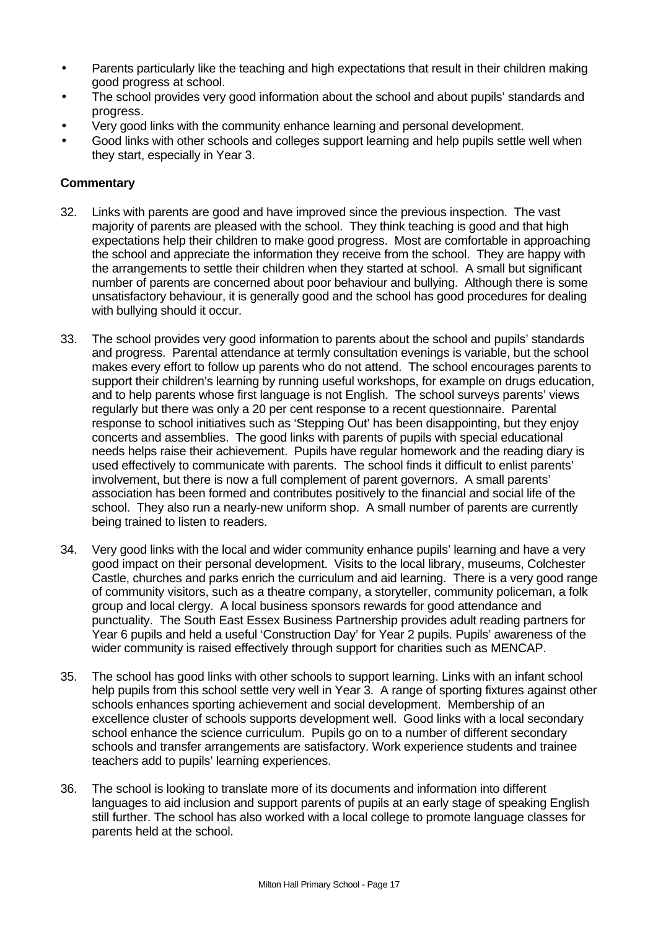- Parents particularly like the teaching and high expectations that result in their children making good progress at school.
- The school provides very good information about the school and about pupils' standards and progress.
- Very good links with the community enhance learning and personal development.
- Good links with other schools and colleges support learning and help pupils settle well when they start, especially in Year 3.

- 32. Links with parents are good and have improved since the previous inspection. The vast majority of parents are pleased with the school. They think teaching is good and that high expectations help their children to make good progress. Most are comfortable in approaching the school and appreciate the information they receive from the school. They are happy with the arrangements to settle their children when they started at school. A small but significant number of parents are concerned about poor behaviour and bullying. Although there is some unsatisfactory behaviour, it is generally good and the school has good procedures for dealing with bullying should it occur.
- 33. The school provides very good information to parents about the school and pupils' standards and progress. Parental attendance at termly consultation evenings is variable, but the school makes every effort to follow up parents who do not attend. The school encourages parents to support their children's learning by running useful workshops, for example on drugs education, and to help parents whose first language is not English. The school surveys parents' views regularly but there was only a 20 per cent response to a recent questionnaire. Parental response to school initiatives such as 'Stepping Out' has been disappointing, but they enjoy concerts and assemblies. The good links with parents of pupils with special educational needs helps raise their achievement. Pupils have regular homework and the reading diary is used effectively to communicate with parents. The school finds it difficult to enlist parents' involvement, but there is now a full complement of parent governors. A small parents' association has been formed and contributes positively to the financial and social life of the school. They also run a nearly-new uniform shop. A small number of parents are currently being trained to listen to readers.
- 34. Very good links with the local and wider community enhance pupils' learning and have a very good impact on their personal development. Visits to the local library, museums, Colchester Castle, churches and parks enrich the curriculum and aid learning. There is a very good range of community visitors, such as a theatre company, a storyteller, community policeman, a folk group and local clergy. A local business sponsors rewards for good attendance and punctuality. The South East Essex Business Partnership provides adult reading partners for Year 6 pupils and held a useful 'Construction Day' for Year 2 pupils. Pupils' awareness of the wider community is raised effectively through support for charities such as MENCAP.
- 35. The school has good links with other schools to support learning. Links with an infant school help pupils from this school settle very well in Year 3. A range of sporting fixtures against other schools enhances sporting achievement and social development. Membership of an excellence cluster of schools supports development well. Good links with a local secondary school enhance the science curriculum. Pupils go on to a number of different secondary schools and transfer arrangements are satisfactory. Work experience students and trainee teachers add to pupils' learning experiences.
- 36. The school is looking to translate more of its documents and information into different languages to aid inclusion and support parents of pupils at an early stage of speaking English still further. The school has also worked with a local college to promote language classes for parents held at the school.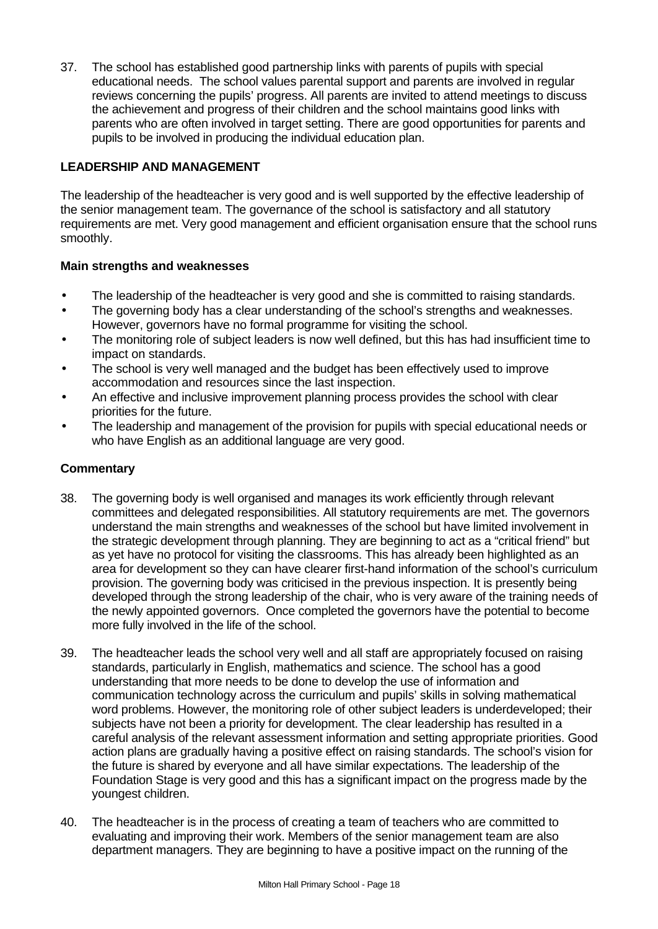37. The school has established good partnership links with parents of pupils with special educational needs. The school values parental support and parents are involved in regular reviews concerning the pupils' progress. All parents are invited to attend meetings to discuss the achievement and progress of their children and the school maintains good links with parents who are often involved in target setting. There are good opportunities for parents and pupils to be involved in producing the individual education plan.

# **LEADERSHIP AND MANAGEMENT**

The leadership of the headteacher is very good and is well supported by the effective leadership of the senior management team. The governance of the school is satisfactory and all statutory requirements are met. Very good management and efficient organisation ensure that the school runs smoothly.

#### **Main strengths and weaknesses**

- The leadership of the headteacher is very good and she is committed to raising standards.
- The governing body has a clear understanding of the school's strengths and weaknesses. However, governors have no formal programme for visiting the school.
- The monitoring role of subject leaders is now well defined, but this has had insufficient time to impact on standards.
- The school is very well managed and the budget has been effectively used to improve accommodation and resources since the last inspection.
- An effective and inclusive improvement planning process provides the school with clear priorities for the future.
- The leadership and management of the provision for pupils with special educational needs or who have English as an additional language are very good.

- 38. The governing body is well organised and manages its work efficiently through relevant committees and delegated responsibilities. All statutory requirements are met. The governors understand the main strengths and weaknesses of the school but have limited involvement in the strategic development through planning. They are beginning to act as a "critical friend" but as yet have no protocol for visiting the classrooms. This has already been highlighted as an area for development so they can have clearer first-hand information of the school's curriculum provision. The governing body was criticised in the previous inspection. It is presently being developed through the strong leadership of the chair, who is very aware of the training needs of the newly appointed governors. Once completed the governors have the potential to become more fully involved in the life of the school.
- 39. The headteacher leads the school very well and all staff are appropriately focused on raising standards, particularly in English, mathematics and science. The school has a good understanding that more needs to be done to develop the use of information and communication technology across the curriculum and pupils' skills in solving mathematical word problems. However, the monitoring role of other subject leaders is underdeveloped; their subjects have not been a priority for development. The clear leadership has resulted in a careful analysis of the relevant assessment information and setting appropriate priorities. Good action plans are gradually having a positive effect on raising standards. The school's vision for the future is shared by everyone and all have similar expectations. The leadership of the Foundation Stage is very good and this has a significant impact on the progress made by the youngest children.
- 40. The headteacher is in the process of creating a team of teachers who are committed to evaluating and improving their work. Members of the senior management team are also department managers. They are beginning to have a positive impact on the running of the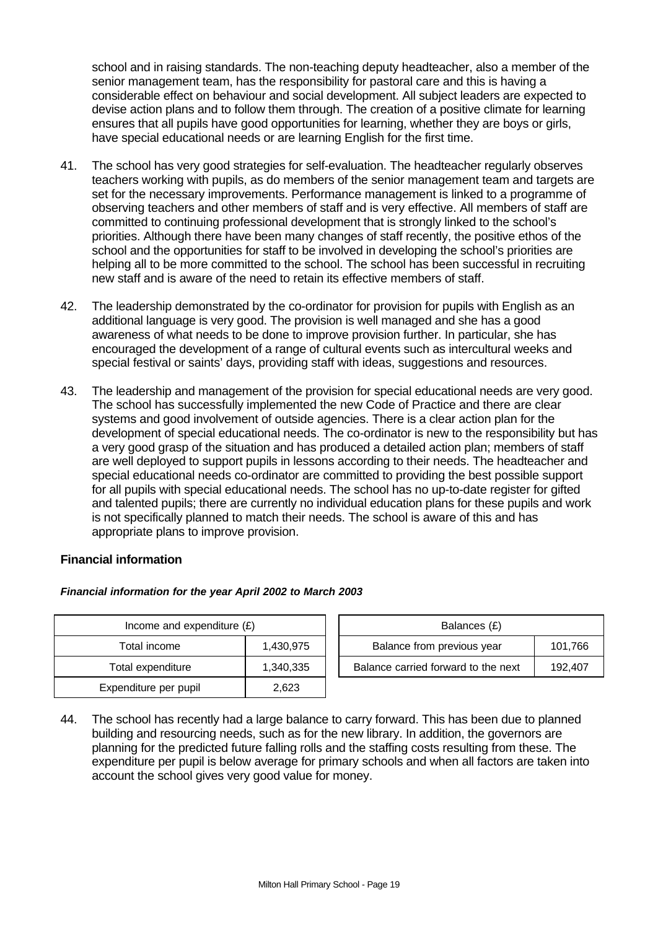school and in raising standards. The non-teaching deputy headteacher, also a member of the senior management team, has the responsibility for pastoral care and this is having a considerable effect on behaviour and social development. All subject leaders are expected to devise action plans and to follow them through. The creation of a positive climate for learning ensures that all pupils have good opportunities for learning, whether they are boys or girls, have special educational needs or are learning English for the first time.

- 41. The school has very good strategies for self-evaluation. The headteacher regularly observes teachers working with pupils, as do members of the senior management team and targets are set for the necessary improvements. Performance management is linked to a programme of observing teachers and other members of staff and is very effective. All members of staff are committed to continuing professional development that is strongly linked to the school's priorities. Although there have been many changes of staff recently, the positive ethos of the school and the opportunities for staff to be involved in developing the school's priorities are helping all to be more committed to the school. The school has been successful in recruiting new staff and is aware of the need to retain its effective members of staff.
- 42. The leadership demonstrated by the co-ordinator for provision for pupils with English as an additional language is very good. The provision is well managed and she has a good awareness of what needs to be done to improve provision further. In particular, she has encouraged the development of a range of cultural events such as intercultural weeks and special festival or saints' days, providing staff with ideas, suggestions and resources.
- 43. The leadership and management of the provision for special educational needs are very good. The school has successfully implemented the new Code of Practice and there are clear systems and good involvement of outside agencies. There is a clear action plan for the development of special educational needs. The co-ordinator is new to the responsibility but has a very good grasp of the situation and has produced a detailed action plan; members of staff are well deployed to support pupils in lessons according to their needs. The headteacher and special educational needs co-ordinator are committed to providing the best possible support for all pupils with special educational needs. The school has no up-to-date register for gifted and talented pupils; there are currently no individual education plans for these pupils and work is not specifically planned to match their needs. The school is aware of this and has appropriate plans to improve provision.

#### **Financial information**

#### *Financial information for the year April 2002 to March 2003*

| Income and expenditure $(E)$ |           |  | Balances (£)                   |
|------------------------------|-----------|--|--------------------------------|
| Total income                 | 1,430,975 |  | Balance from previous year     |
| Total expenditure            | 1,340,335 |  | Balance carried forward to the |
| Expenditure per pupil        | 2,623     |  |                                |

| Income and expenditure $(E)$ |           | Balances (£)                          |         |
|------------------------------|-----------|---------------------------------------|---------|
| Total income                 | 1.430.975 | Balance from previous year<br>101.766 |         |
| Total expenditure            | 1,340,335 | Balance carried forward to the next   | 192.407 |

44. The school has recently had a large balance to carry forward. This has been due to planned building and resourcing needs, such as for the new library. In addition, the governors are planning for the predicted future falling rolls and the staffing costs resulting from these. The expenditure per pupil is below average for primary schools and when all factors are taken into account the school gives very good value for money.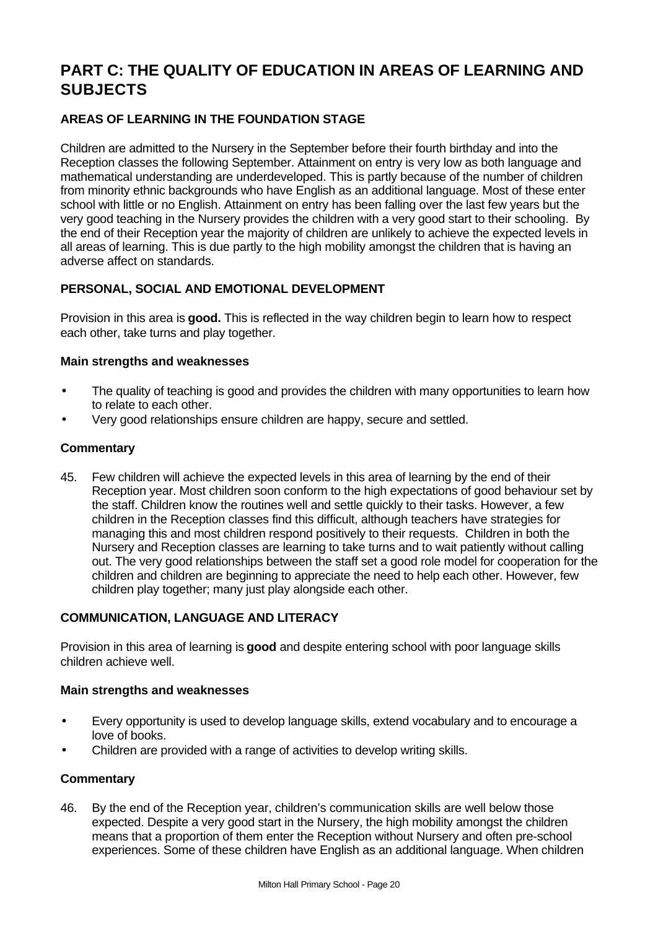# **PART C: THE QUALITY OF EDUCATION IN AREAS OF LEARNING AND SUBJECTS**

# **AREAS OF LEARNING IN THE FOUNDATION STAGE**

Children are admitted to the Nursery in the September before their fourth birthday and into the Reception classes the following September. Attainment on entry is very low as both language and mathematical understanding are underdeveloped. This is partly because of the number of children from minority ethnic backgrounds who have English as an additional language. Most of these enter school with little or no English. Attainment on entry has been falling over the last few years but the very good teaching in the Nursery provides the children with a very good start to their schooling. By the end of their Reception year the majority of children are unlikely to achieve the expected levels in all areas of learning. This is due partly to the high mobility amongst the children that is having an adverse affect on standards.

# **PERSONAL, SOCIAL AND EMOTIONAL DEVELOPMENT**

Provision in this area is **good.** This is reflected in the way children begin to learn how to respect each other, take turns and play together.

#### **Main strengths and weaknesses**

- The quality of teaching is good and provides the children with many opportunities to learn how to relate to each other.
- Very good relationships ensure children are happy, secure and settled.

#### **Commentary**

45. Few children will achieve the expected levels in this area of learning by the end of their Reception year. Most children soon conform to the high expectations of good behaviour set by the staff. Children know the routines well and settle quickly to their tasks. However, a few children in the Reception classes find this difficult, although teachers have strategies for managing this and most children respond positively to their requests. Children in both the Nursery and Reception classes are learning to take turns and to wait patiently without calling out. The very good relationships between the staff set a good role model for cooperation for the children and children are beginning to appreciate the need to help each other. However, few children play together; many just play alongside each other.

# **COMMUNICATION, LANGUAGE AND LITERACY**

Provision in this area of learning is **good** and despite entering school with poor language skills children achieve well.

#### **Main strengths and weaknesses**

- Every opportunity is used to develop language skills, extend vocabulary and to encourage a love of books.
- Children are provided with a range of activities to develop writing skills.

#### **Commentary**

46. By the end of the Reception year, children's communication skills are well below those expected. Despite a very good start in the Nursery, the high mobility amongst the children means that a proportion of them enter the Reception without Nursery and often pre-school experiences. Some of these children have English as an additional language. When children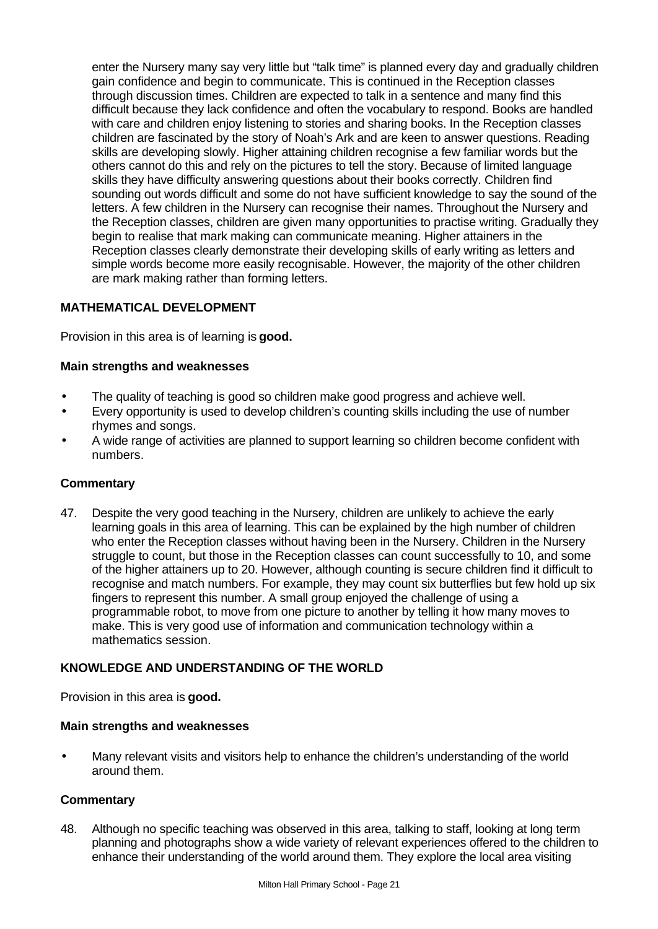enter the Nursery many say very little but "talk time" is planned every day and gradually children gain confidence and begin to communicate. This is continued in the Reception classes through discussion times. Children are expected to talk in a sentence and many find this difficult because they lack confidence and often the vocabulary to respond. Books are handled with care and children enjoy listening to stories and sharing books. In the Reception classes children are fascinated by the story of Noah's Ark and are keen to answer questions. Reading skills are developing slowly. Higher attaining children recognise a few familiar words but the others cannot do this and rely on the pictures to tell the story. Because of limited language skills they have difficulty answering questions about their books correctly. Children find sounding out words difficult and some do not have sufficient knowledge to say the sound of the letters. A few children in the Nursery can recognise their names. Throughout the Nursery and the Reception classes, children are given many opportunities to practise writing. Gradually they begin to realise that mark making can communicate meaning. Higher attainers in the Reception classes clearly demonstrate their developing skills of early writing as letters and simple words become more easily recognisable. However, the majority of the other children are mark making rather than forming letters.

# **MATHEMATICAL DEVELOPMENT**

Provision in this area is of learning is **good.**

#### **Main strengths and weaknesses**

- The quality of teaching is good so children make good progress and achieve well.
- Every opportunity is used to develop children's counting skills including the use of number rhymes and songs.
- A wide range of activities are planned to support learning so children become confident with numbers.

#### **Commentary**

47. Despite the very good teaching in the Nursery, children are unlikely to achieve the early learning goals in this area of learning. This can be explained by the high number of children who enter the Reception classes without having been in the Nursery. Children in the Nursery struggle to count, but those in the Reception classes can count successfully to 10, and some of the higher attainers up to 20. However, although counting is secure children find it difficult to recognise and match numbers. For example, they may count six butterflies but few hold up six fingers to represent this number. A small group enjoyed the challenge of using a programmable robot, to move from one picture to another by telling it how many moves to make. This is very good use of information and communication technology within a mathematics session.

#### **KNOWLEDGE AND UNDERSTANDING OF THE WORLD**

Provision in this area is **good.**

#### **Main strengths and weaknesses**

• Many relevant visits and visitors help to enhance the children's understanding of the world around them.

#### **Commentary**

48. Although no specific teaching was observed in this area, talking to staff, looking at long term planning and photographs show a wide variety of relevant experiences offered to the children to enhance their understanding of the world around them. They explore the local area visiting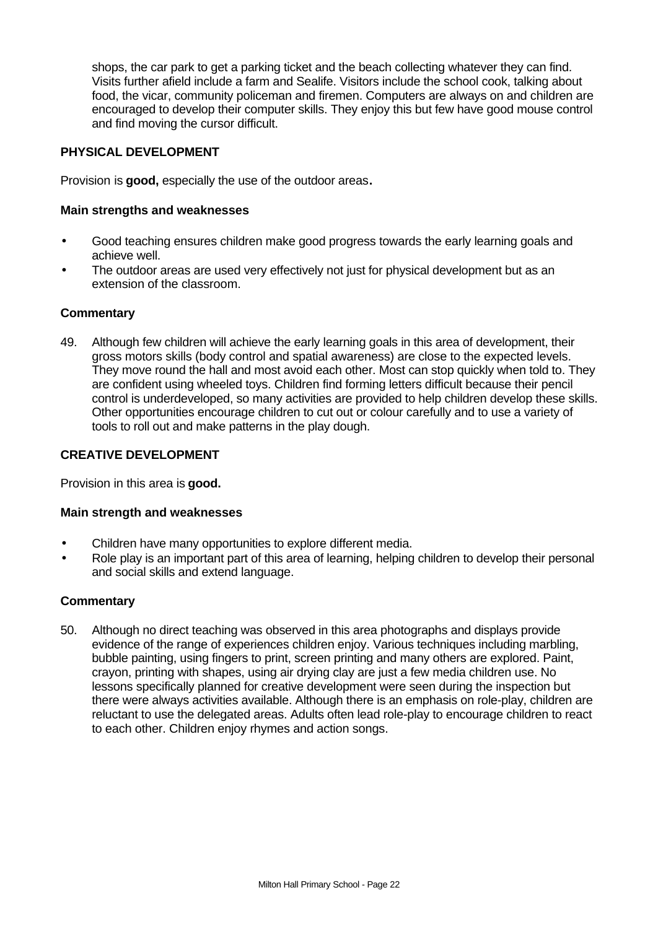shops, the car park to get a parking ticket and the beach collecting whatever they can find. Visits further afield include a farm and Sealife. Visitors include the school cook, talking about food, the vicar, community policeman and firemen. Computers are always on and children are encouraged to develop their computer skills. They enjoy this but few have good mouse control and find moving the cursor difficult.

### **PHYSICAL DEVELOPMENT**

Provision is **good,** especially the use of the outdoor areas**.**

#### **Main strengths and weaknesses**

- Good teaching ensures children make good progress towards the early learning goals and achieve well.
- The outdoor areas are used very effectively not just for physical development but as an extension of the classroom.

#### **Commentary**

49. Although few children will achieve the early learning goals in this area of development, their gross motors skills (body control and spatial awareness) are close to the expected levels. They move round the hall and most avoid each other. Most can stop quickly when told to. They are confident using wheeled toys. Children find forming letters difficult because their pencil control is underdeveloped, so many activities are provided to help children develop these skills. Other opportunities encourage children to cut out or colour carefully and to use a variety of tools to roll out and make patterns in the play dough.

#### **CREATIVE DEVELOPMENT**

Provision in this area is **good.**

#### **Main strength and weaknesses**

- Children have many opportunities to explore different media.
- Role play is an important part of this area of learning, helping children to develop their personal and social skills and extend language.

#### **Commentary**

50. Although no direct teaching was observed in this area photographs and displays provide evidence of the range of experiences children enjoy. Various techniques including marbling, bubble painting, using fingers to print, screen printing and many others are explored. Paint, crayon, printing with shapes, using air drying clay are just a few media children use. No lessons specifically planned for creative development were seen during the inspection but there were always activities available. Although there is an emphasis on role-play, children are reluctant to use the delegated areas. Adults often lead role-play to encourage children to react to each other. Children enjoy rhymes and action songs.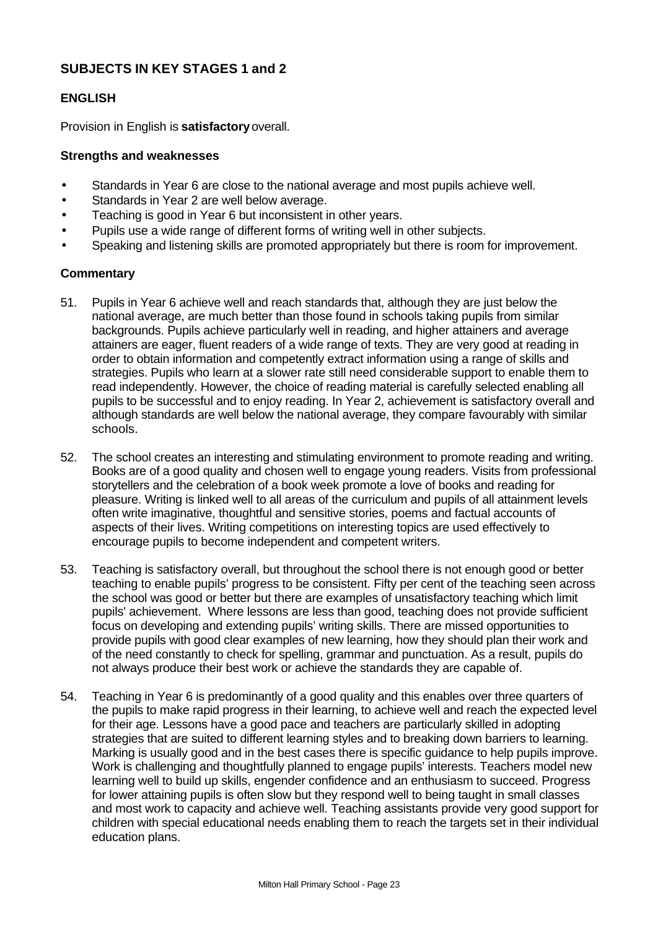# **SUBJECTS IN KEY STAGES 1 and 2**

# **ENGLISH**

Provision in English is **satisfactory** overall.

#### **Strengths and weaknesses**

- Standards in Year 6 are close to the national average and most pupils achieve well.
- Standards in Year 2 are well below average.
- Teaching is good in Year 6 but inconsistent in other years.
- Pupils use a wide range of different forms of writing well in other subjects.
- Speaking and listening skills are promoted appropriately but there is room for improvement.

- 51. Pupils in Year 6 achieve well and reach standards that, although they are just below the national average, are much better than those found in schools taking pupils from similar backgrounds. Pupils achieve particularly well in reading, and higher attainers and average attainers are eager, fluent readers of a wide range of texts. They are very good at reading in order to obtain information and competently extract information using a range of skills and strategies. Pupils who learn at a slower rate still need considerable support to enable them to read independently. However, the choice of reading material is carefully selected enabling all pupils to be successful and to enjoy reading. In Year 2, achievement is satisfactory overall and although standards are well below the national average, they compare favourably with similar schools.
- 52. The school creates an interesting and stimulating environment to promote reading and writing. Books are of a good quality and chosen well to engage young readers. Visits from professional storytellers and the celebration of a book week promote a love of books and reading for pleasure. Writing is linked well to all areas of the curriculum and pupils of all attainment levels often write imaginative, thoughtful and sensitive stories, poems and factual accounts of aspects of their lives. Writing competitions on interesting topics are used effectively to encourage pupils to become independent and competent writers.
- 53. Teaching is satisfactory overall, but throughout the school there is not enough good or better teaching to enable pupils' progress to be consistent. Fifty per cent of the teaching seen across the school was good or better but there are examples of unsatisfactory teaching which limit pupils' achievement. Where lessons are less than good, teaching does not provide sufficient focus on developing and extending pupils' writing skills. There are missed opportunities to provide pupils with good clear examples of new learning, how they should plan their work and of the need constantly to check for spelling, grammar and punctuation. As a result, pupils do not always produce their best work or achieve the standards they are capable of.
- 54. Teaching in Year 6 is predominantly of a good quality and this enables over three quarters of the pupils to make rapid progress in their learning, to achieve well and reach the expected level for their age. Lessons have a good pace and teachers are particularly skilled in adopting strategies that are suited to different learning styles and to breaking down barriers to learning. Marking is usually good and in the best cases there is specific guidance to help pupils improve. Work is challenging and thoughtfully planned to engage pupils' interests. Teachers model new learning well to build up skills, engender confidence and an enthusiasm to succeed. Progress for lower attaining pupils is often slow but they respond well to being taught in small classes and most work to capacity and achieve well. Teaching assistants provide very good support for children with special educational needs enabling them to reach the targets set in their individual education plans.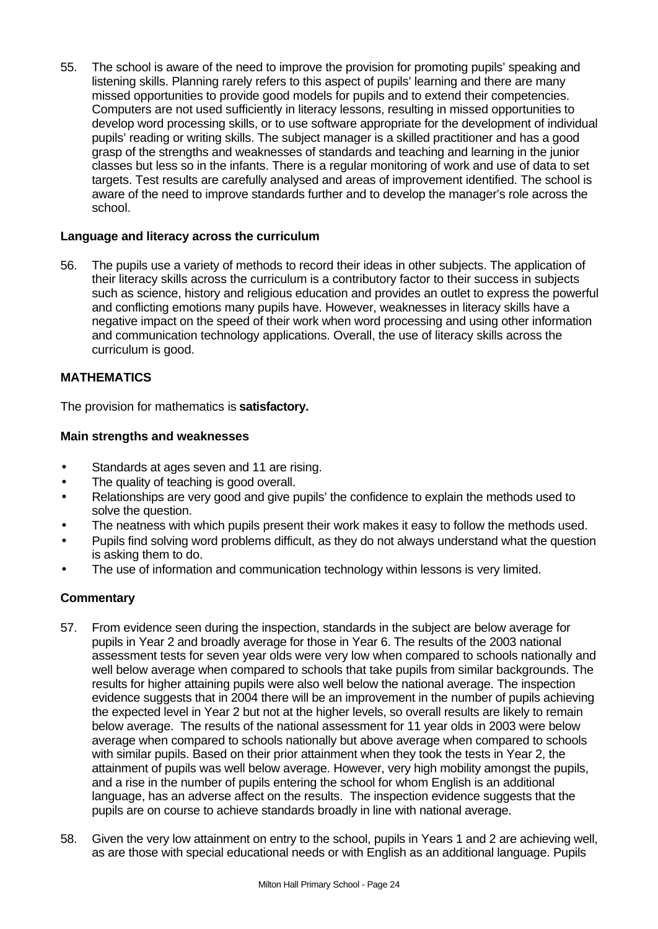55. The school is aware of the need to improve the provision for promoting pupils' speaking and listening skills. Planning rarely refers to this aspect of pupils' learning and there are many missed opportunities to provide good models for pupils and to extend their competencies. Computers are not used sufficiently in literacy lessons, resulting in missed opportunities to develop word processing skills, or to use software appropriate for the development of individual pupils' reading or writing skills. The subject manager is a skilled practitioner and has a good grasp of the strengths and weaknesses of standards and teaching and learning in the junior classes but less so in the infants. There is a regular monitoring of work and use of data to set targets. Test results are carefully analysed and areas of improvement identified. The school is aware of the need to improve standards further and to develop the manager's role across the school.

### **Language and literacy across the curriculum**

56. The pupils use a variety of methods to record their ideas in other subjects. The application of their literacy skills across the curriculum is a contributory factor to their success in subjects such as science, history and religious education and provides an outlet to express the powerful and conflicting emotions many pupils have. However, weaknesses in literacy skills have a negative impact on the speed of their work when word processing and using other information and communication technology applications. Overall, the use of literacy skills across the curriculum is good.

# **MATHEMATICS**

The provision for mathematics is **satisfactory.**

#### **Main strengths and weaknesses**

- Standards at ages seven and 11 are rising.
- The quality of teaching is good overall.
- Relationships are very good and give pupils' the confidence to explain the methods used to solve the question.
- The neatness with which pupils present their work makes it easy to follow the methods used.
- Pupils find solving word problems difficult, as they do not always understand what the question is asking them to do.
- The use of information and communication technology within lessons is very limited.

- 57. From evidence seen during the inspection, standards in the subject are below average for pupils in Year 2 and broadly average for those in Year 6. The results of the 2003 national assessment tests for seven year olds were very low when compared to schools nationally and well below average when compared to schools that take pupils from similar backgrounds. The results for higher attaining pupils were also well below the national average. The inspection evidence suggests that in 2004 there will be an improvement in the number of pupils achieving the expected level in Year 2 but not at the higher levels, so overall results are likely to remain below average. The results of the national assessment for 11 year olds in 2003 were below average when compared to schools nationally but above average when compared to schools with similar pupils. Based on their prior attainment when they took the tests in Year 2, the attainment of pupils was well below average. However, very high mobility amongst the pupils, and a rise in the number of pupils entering the school for whom English is an additional language, has an adverse affect on the results. The inspection evidence suggests that the pupils are on course to achieve standards broadly in line with national average.
- 58. Given the very low attainment on entry to the school, pupils in Years 1 and 2 are achieving well, as are those with special educational needs or with English as an additional language. Pupils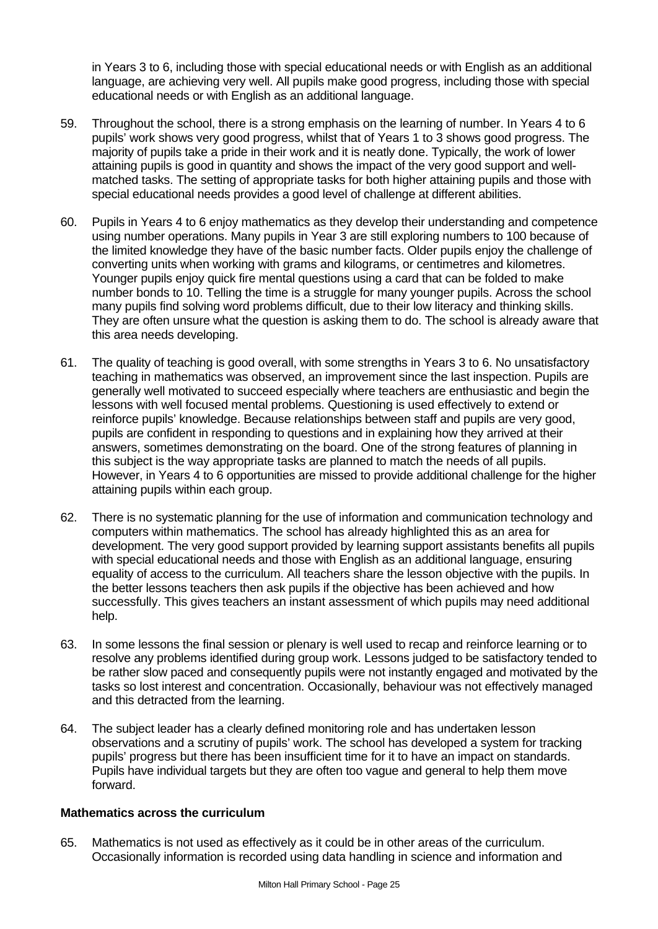in Years 3 to 6, including those with special educational needs or with English as an additional language, are achieving very well. All pupils make good progress, including those with special educational needs or with English as an additional language.

- 59. Throughout the school, there is a strong emphasis on the learning of number. In Years 4 to 6 pupils' work shows very good progress, whilst that of Years 1 to 3 shows good progress. The majority of pupils take a pride in their work and it is neatly done. Typically, the work of lower attaining pupils is good in quantity and shows the impact of the very good support and wellmatched tasks. The setting of appropriate tasks for both higher attaining pupils and those with special educational needs provides a good level of challenge at different abilities.
- 60. Pupils in Years 4 to 6 enjoy mathematics as they develop their understanding and competence using number operations. Many pupils in Year 3 are still exploring numbers to 100 because of the limited knowledge they have of the basic number facts. Older pupils enjoy the challenge of converting units when working with grams and kilograms, or centimetres and kilometres. Younger pupils enjoy quick fire mental questions using a card that can be folded to make number bonds to 10. Telling the time is a struggle for many younger pupils. Across the school many pupils find solving word problems difficult, due to their low literacy and thinking skills. They are often unsure what the question is asking them to do. The school is already aware that this area needs developing.
- 61. The quality of teaching is good overall, with some strengths in Years 3 to 6. No unsatisfactory teaching in mathematics was observed, an improvement since the last inspection. Pupils are generally well motivated to succeed especially where teachers are enthusiastic and begin the lessons with well focused mental problems. Questioning is used effectively to extend or reinforce pupils' knowledge. Because relationships between staff and pupils are very good, pupils are confident in responding to questions and in explaining how they arrived at their answers, sometimes demonstrating on the board. One of the strong features of planning in this subject is the way appropriate tasks are planned to match the needs of all pupils. However, in Years 4 to 6 opportunities are missed to provide additional challenge for the higher attaining pupils within each group.
- 62. There is no systematic planning for the use of information and communication technology and computers within mathematics. The school has already highlighted this as an area for development. The very good support provided by learning support assistants benefits all pupils with special educational needs and those with English as an additional language, ensuring equality of access to the curriculum. All teachers share the lesson objective with the pupils. In the better lessons teachers then ask pupils if the objective has been achieved and how successfully. This gives teachers an instant assessment of which pupils may need additional help.
- 63. In some lessons the final session or plenary is well used to recap and reinforce learning or to resolve any problems identified during group work. Lessons judged to be satisfactory tended to be rather slow paced and consequently pupils were not instantly engaged and motivated by the tasks so lost interest and concentration. Occasionally, behaviour was not effectively managed and this detracted from the learning.
- 64. The subject leader has a clearly defined monitoring role and has undertaken lesson observations and a scrutiny of pupils' work. The school has developed a system for tracking pupils' progress but there has been insufficient time for it to have an impact on standards. Pupils have individual targets but they are often too vague and general to help them move forward.

#### **Mathematics across the curriculum**

65. Mathematics is not used as effectively as it could be in other areas of the curriculum. Occasionally information is recorded using data handling in science and information and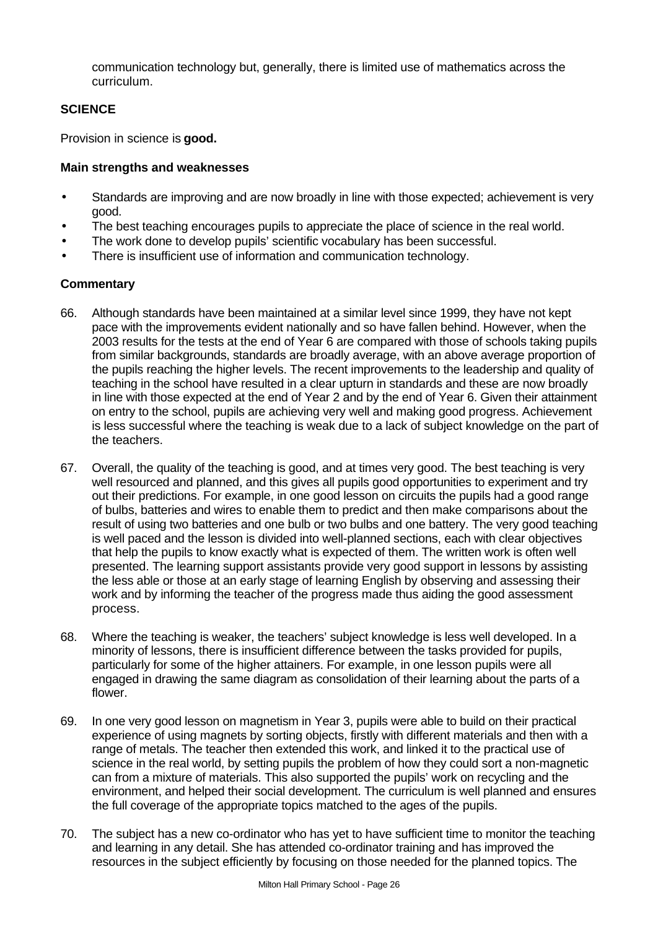communication technology but, generally, there is limited use of mathematics across the curriculum.

# **SCIENCE**

Provision in science is **good.**

# **Main strengths and weaknesses**

- Standards are improving and are now broadly in line with those expected; achievement is very good.
- The best teaching encourages pupils to appreciate the place of science in the real world.
- The work done to develop pupils' scientific vocabulary has been successful.
- There is insufficient use of information and communication technology.

- 66. Although standards have been maintained at a similar level since 1999, they have not kept pace with the improvements evident nationally and so have fallen behind. However, when the 2003 results for the tests at the end of Year 6 are compared with those of schools taking pupils from similar backgrounds, standards are broadly average, with an above average proportion of the pupils reaching the higher levels. The recent improvements to the leadership and quality of teaching in the school have resulted in a clear upturn in standards and these are now broadly in line with those expected at the end of Year 2 and by the end of Year 6. Given their attainment on entry to the school, pupils are achieving very well and making good progress. Achievement is less successful where the teaching is weak due to a lack of subject knowledge on the part of the teachers.
- 67. Overall, the quality of the teaching is good, and at times very good. The best teaching is very well resourced and planned, and this gives all pupils good opportunities to experiment and try out their predictions. For example, in one good lesson on circuits the pupils had a good range of bulbs, batteries and wires to enable them to predict and then make comparisons about the result of using two batteries and one bulb or two bulbs and one battery. The very good teaching is well paced and the lesson is divided into well-planned sections, each with clear objectives that help the pupils to know exactly what is expected of them. The written work is often well presented. The learning support assistants provide very good support in lessons by assisting the less able or those at an early stage of learning English by observing and assessing their work and by informing the teacher of the progress made thus aiding the good assessment process.
- 68. Where the teaching is weaker, the teachers' subject knowledge is less well developed. In a minority of lessons, there is insufficient difference between the tasks provided for pupils, particularly for some of the higher attainers. For example, in one lesson pupils were all engaged in drawing the same diagram as consolidation of their learning about the parts of a flower.
- 69. In one very good lesson on magnetism in Year 3, pupils were able to build on their practical experience of using magnets by sorting objects, firstly with different materials and then with a range of metals. The teacher then extended this work, and linked it to the practical use of science in the real world, by setting pupils the problem of how they could sort a non-magnetic can from a mixture of materials. This also supported the pupils' work on recycling and the environment, and helped their social development. The curriculum is well planned and ensures the full coverage of the appropriate topics matched to the ages of the pupils.
- 70. The subject has a new co-ordinator who has yet to have sufficient time to monitor the teaching and learning in any detail. She has attended co-ordinator training and has improved the resources in the subject efficiently by focusing on those needed for the planned topics. The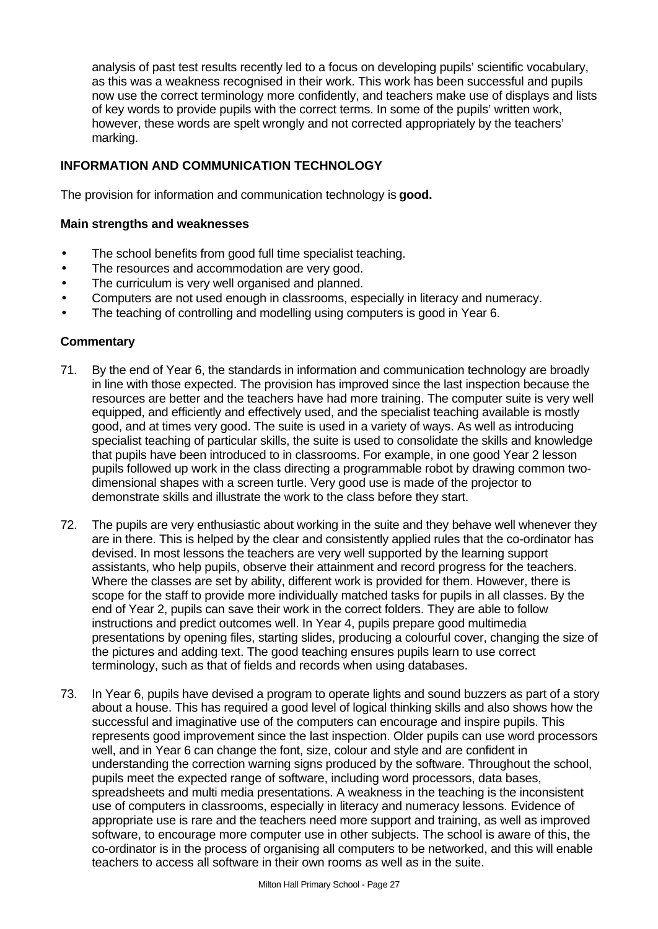analysis of past test results recently led to a focus on developing pupils' scientific vocabulary, as this was a weakness recognised in their work. This work has been successful and pupils now use the correct terminology more confidently, and teachers make use of displays and lists of key words to provide pupils with the correct terms. In some of the pupils' written work, however, these words are spelt wrongly and not corrected appropriately by the teachers' marking.

# **INFORMATION AND COMMUNICATION TECHNOLOGY**

The provision for information and communication technology is **good.**

### **Main strengths and weaknesses**

- The school benefits from good full time specialist teaching.
- The resources and accommodation are very good.
- The curriculum is very well organised and planned.
- Computers are not used enough in classrooms, especially in literacy and numeracy.
- The teaching of controlling and modelling using computers is good in Year 6.

- 71. By the end of Year 6, the standards in information and communication technology are broadly in line with those expected. The provision has improved since the last inspection because the resources are better and the teachers have had more training. The computer suite is very well equipped, and efficiently and effectively used, and the specialist teaching available is mostly good, and at times very good. The suite is used in a variety of ways. As well as introducing specialist teaching of particular skills, the suite is used to consolidate the skills and knowledge that pupils have been introduced to in classrooms. For example, in one good Year 2 lesson pupils followed up work in the class directing a programmable robot by drawing common twodimensional shapes with a screen turtle. Very good use is made of the projector to demonstrate skills and illustrate the work to the class before they start.
- 72. The pupils are very enthusiastic about working in the suite and they behave well whenever they are in there. This is helped by the clear and consistently applied rules that the co-ordinator has devised. In most lessons the teachers are very well supported by the learning support assistants, who help pupils, observe their attainment and record progress for the teachers. Where the classes are set by ability, different work is provided for them. However, there is scope for the staff to provide more individually matched tasks for pupils in all classes. By the end of Year 2, pupils can save their work in the correct folders. They are able to follow instructions and predict outcomes well. In Year 4, pupils prepare good multimedia presentations by opening files, starting slides, producing a colourful cover, changing the size of the pictures and adding text. The good teaching ensures pupils learn to use correct terminology, such as that of fields and records when using databases.
- 73. In Year 6, pupils have devised a program to operate lights and sound buzzers as part of a story about a house. This has required a good level of logical thinking skills and also shows how the successful and imaginative use of the computers can encourage and inspire pupils. This represents good improvement since the last inspection. Older pupils can use word processors well, and in Year 6 can change the font, size, colour and style and are confident in understanding the correction warning signs produced by the software. Throughout the school, pupils meet the expected range of software, including word processors, data bases, spreadsheets and multi media presentations. A weakness in the teaching is the inconsistent use of computers in classrooms, especially in literacy and numeracy lessons. Evidence of appropriate use is rare and the teachers need more support and training, as well as improved software, to encourage more computer use in other subjects. The school is aware of this, the co-ordinator is in the process of organising all computers to be networked, and this will enable teachers to access all software in their own rooms as well as in the suite.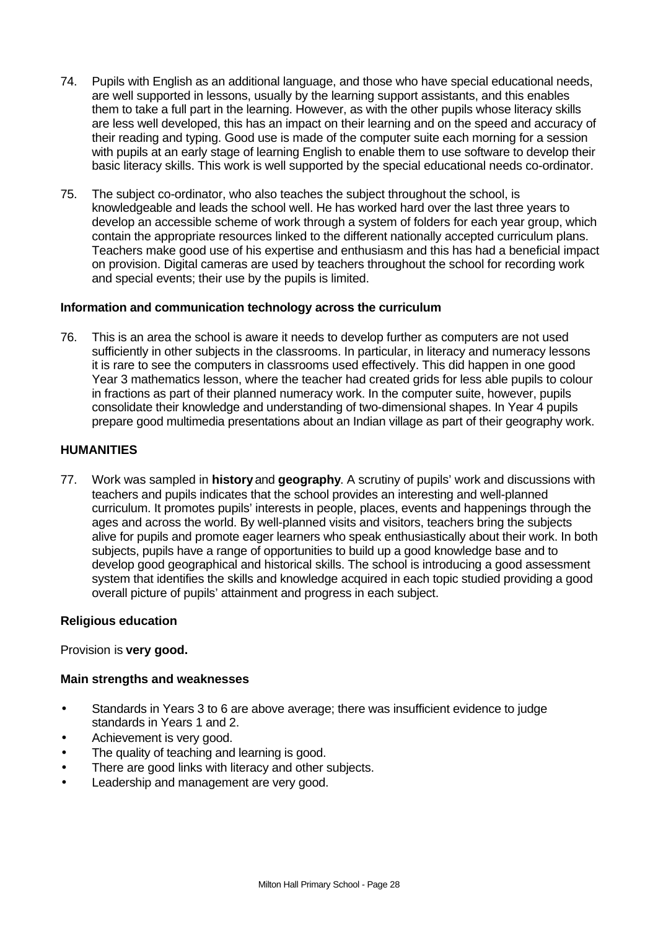- 74. Pupils with English as an additional language, and those who have special educational needs, are well supported in lessons, usually by the learning support assistants, and this enables them to take a full part in the learning. However, as with the other pupils whose literacy skills are less well developed, this has an impact on their learning and on the speed and accuracy of their reading and typing. Good use is made of the computer suite each morning for a session with pupils at an early stage of learning English to enable them to use software to develop their basic literacy skills. This work is well supported by the special educational needs co-ordinator.
- 75. The subject co-ordinator, who also teaches the subject throughout the school, is knowledgeable and leads the school well. He has worked hard over the last three years to develop an accessible scheme of work through a system of folders for each year group, which contain the appropriate resources linked to the different nationally accepted curriculum plans. Teachers make good use of his expertise and enthusiasm and this has had a beneficial impact on provision. Digital cameras are used by teachers throughout the school for recording work and special events; their use by the pupils is limited.

# **Information and communication technology across the curriculum**

76. This is an area the school is aware it needs to develop further as computers are not used sufficiently in other subjects in the classrooms. In particular, in literacy and numeracy lessons it is rare to see the computers in classrooms used effectively. This did happen in one good Year 3 mathematics lesson, where the teacher had created grids for less able pupils to colour in fractions as part of their planned numeracy work. In the computer suite, however, pupils consolidate their knowledge and understanding of two-dimensional shapes. In Year 4 pupils prepare good multimedia presentations about an Indian village as part of their geography work.

# **HUMANITIES**

77. Work was sampled in **history** and **geography**. A scrutiny of pupils' work and discussions with teachers and pupils indicates that the school provides an interesting and well-planned curriculum. It promotes pupils' interests in people, places, events and happenings through the ages and across the world. By well-planned visits and visitors, teachers bring the subjects alive for pupils and promote eager learners who speak enthusiastically about their work. In both subjects, pupils have a range of opportunities to build up a good knowledge base and to develop good geographical and historical skills. The school is introducing a good assessment system that identifies the skills and knowledge acquired in each topic studied providing a good overall picture of pupils' attainment and progress in each subject.

#### **Religious education**

Provision is **very good.**

#### **Main strengths and weaknesses**

- Standards in Years 3 to 6 are above average; there was insufficient evidence to judge standards in Years 1 and 2.
- Achievement is very good.
- The quality of teaching and learning is good.
- There are good links with literacy and other subjects.
- Leadership and management are very good.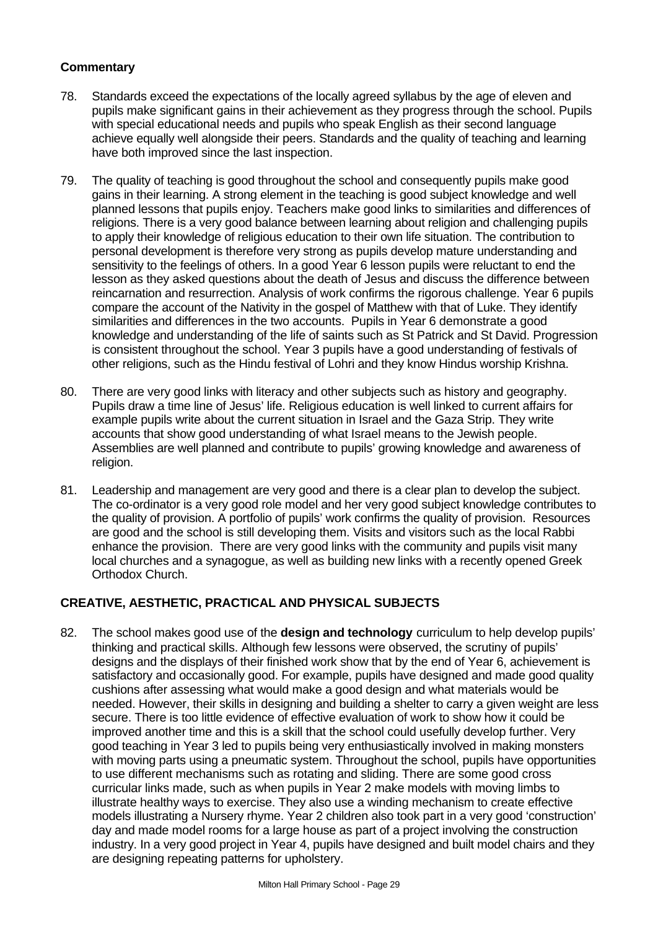- 78. Standards exceed the expectations of the locally agreed syllabus by the age of eleven and pupils make significant gains in their achievement as they progress through the school. Pupils with special educational needs and pupils who speak English as their second language achieve equally well alongside their peers. Standards and the quality of teaching and learning have both improved since the last inspection.
- 79. The quality of teaching is good throughout the school and consequently pupils make good gains in their learning. A strong element in the teaching is good subject knowledge and well planned lessons that pupils enjoy. Teachers make good links to similarities and differences of religions. There is a very good balance between learning about religion and challenging pupils to apply their knowledge of religious education to their own life situation. The contribution to personal development is therefore very strong as pupils develop mature understanding and sensitivity to the feelings of others. In a good Year 6 lesson pupils were reluctant to end the lesson as they asked questions about the death of Jesus and discuss the difference between reincarnation and resurrection. Analysis of work confirms the rigorous challenge. Year 6 pupils compare the account of the Nativity in the gospel of Matthew with that of Luke. They identify similarities and differences in the two accounts. Pupils in Year 6 demonstrate a good knowledge and understanding of the life of saints such as St Patrick and St David. Progression is consistent throughout the school. Year 3 pupils have a good understanding of festivals of other religions, such as the Hindu festival of Lohri and they know Hindus worship Krishna.
- 80. There are very good links with literacy and other subjects such as history and geography. Pupils draw a time line of Jesus' life. Religious education is well linked to current affairs for example pupils write about the current situation in Israel and the Gaza Strip. They write accounts that show good understanding of what Israel means to the Jewish people. Assemblies are well planned and contribute to pupils' growing knowledge and awareness of religion.
- 81. Leadership and management are very good and there is a clear plan to develop the subject. The co-ordinator is a very good role model and her very good subject knowledge contributes to the quality of provision. A portfolio of pupils' work confirms the quality of provision. Resources are good and the school is still developing them. Visits and visitors such as the local Rabbi enhance the provision. There are very good links with the community and pupils visit many local churches and a synagogue, as well as building new links with a recently opened Greek Orthodox Church.

# **CREATIVE, AESTHETIC, PRACTICAL AND PHYSICAL SUBJECTS**

82. The school makes good use of the **design and technology** curriculum to help develop pupils' thinking and practical skills. Although few lessons were observed, the scrutiny of pupils' designs and the displays of their finished work show that by the end of Year 6, achievement is satisfactory and occasionally good. For example, pupils have designed and made good quality cushions after assessing what would make a good design and what materials would be needed. However, their skills in designing and building a shelter to carry a given weight are less secure. There is too little evidence of effective evaluation of work to show how it could be improved another time and this is a skill that the school could usefully develop further. Very good teaching in Year 3 led to pupils being very enthusiastically involved in making monsters with moving parts using a pneumatic system. Throughout the school, pupils have opportunities to use different mechanisms such as rotating and sliding. There are some good cross curricular links made, such as when pupils in Year 2 make models with moving limbs to illustrate healthy ways to exercise. They also use a winding mechanism to create effective models illustrating a Nursery rhyme. Year 2 children also took part in a very good 'construction' day and made model rooms for a large house as part of a project involving the construction industry. In a very good project in Year 4, pupils have designed and built model chairs and they are designing repeating patterns for upholstery.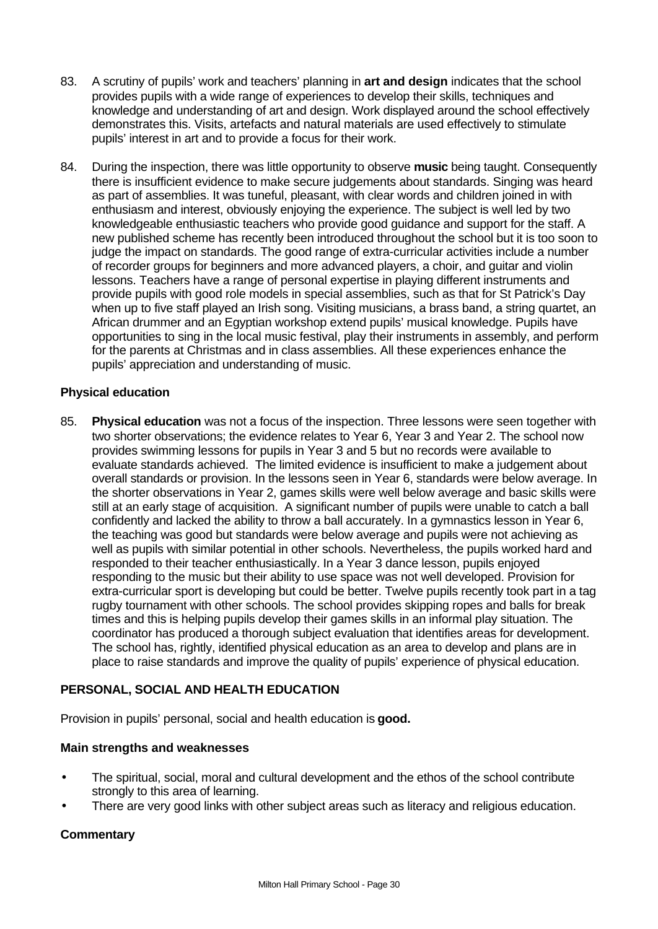- 83. A scrutiny of pupils' work and teachers' planning in **art and design** indicates that the school provides pupils with a wide range of experiences to develop their skills, techniques and knowledge and understanding of art and design. Work displayed around the school effectively demonstrates this. Visits, artefacts and natural materials are used effectively to stimulate pupils' interest in art and to provide a focus for their work.
- 84. During the inspection, there was little opportunity to observe **music** being taught. Consequently there is insufficient evidence to make secure judgements about standards. Singing was heard as part of assemblies. It was tuneful, pleasant, with clear words and children joined in with enthusiasm and interest, obviously enjoying the experience. The subject is well led by two knowledgeable enthusiastic teachers who provide good guidance and support for the staff. A new published scheme has recently been introduced throughout the school but it is too soon to judge the impact on standards. The good range of extra-curricular activities include a number of recorder groups for beginners and more advanced players, a choir, and guitar and violin lessons. Teachers have a range of personal expertise in playing different instruments and provide pupils with good role models in special assemblies, such as that for St Patrick's Day when up to five staff played an Irish song. Visiting musicians, a brass band, a string quartet, an African drummer and an Egyptian workshop extend pupils' musical knowledge. Pupils have opportunities to sing in the local music festival, play their instruments in assembly, and perform for the parents at Christmas and in class assemblies. All these experiences enhance the pupils' appreciation and understanding of music.

#### **Physical education**

85. **Physical education** was not a focus of the inspection. Three lessons were seen together with two shorter observations; the evidence relates to Year 6, Year 3 and Year 2. The school now provides swimming lessons for pupils in Year 3 and 5 but no records were available to evaluate standards achieved. The limited evidence is insufficient to make a judgement about overall standards or provision. In the lessons seen in Year 6, standards were below average. In the shorter observations in Year 2, games skills were well below average and basic skills were still at an early stage of acquisition. A significant number of pupils were unable to catch a ball confidently and lacked the ability to throw a ball accurately. In a gymnastics lesson in Year 6, the teaching was good but standards were below average and pupils were not achieving as well as pupils with similar potential in other schools. Nevertheless, the pupils worked hard and responded to their teacher enthusiastically. In a Year 3 dance lesson, pupils enjoyed responding to the music but their ability to use space was not well developed. Provision for extra-curricular sport is developing but could be better. Twelve pupils recently took part in a tag rugby tournament with other schools. The school provides skipping ropes and balls for break times and this is helping pupils develop their games skills in an informal play situation. The coordinator has produced a thorough subject evaluation that identifies areas for development. The school has, rightly, identified physical education as an area to develop and plans are in place to raise standards and improve the quality of pupils' experience of physical education.

# **PERSONAL, SOCIAL AND HEALTH EDUCATION**

Provision in pupils' personal, social and health education is **good.**

#### **Main strengths and weaknesses**

- The spiritual, social, moral and cultural development and the ethos of the school contribute strongly to this area of learning.
- There are very good links with other subject areas such as literacy and religious education.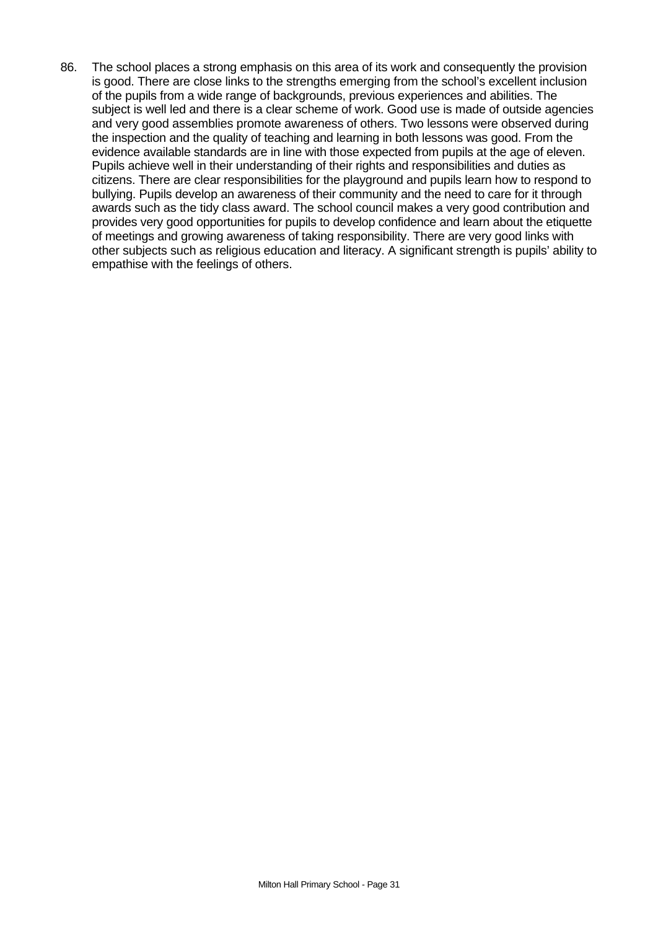86. The school places a strong emphasis on this area of its work and consequently the provision is good. There are close links to the strengths emerging from the school's excellent inclusion of the pupils from a wide range of backgrounds, previous experiences and abilities. The subject is well led and there is a clear scheme of work. Good use is made of outside agencies and very good assemblies promote awareness of others. Two lessons were observed during the inspection and the quality of teaching and learning in both lessons was good. From the evidence available standards are in line with those expected from pupils at the age of eleven. Pupils achieve well in their understanding of their rights and responsibilities and duties as citizens. There are clear responsibilities for the playground and pupils learn how to respond to bullying. Pupils develop an awareness of their community and the need to care for it through awards such as the tidy class award. The school council makes a very good contribution and provides very good opportunities for pupils to develop confidence and learn about the etiquette of meetings and growing awareness of taking responsibility. There are very good links with other subjects such as religious education and literacy. A significant strength is pupils' ability to empathise with the feelings of others.